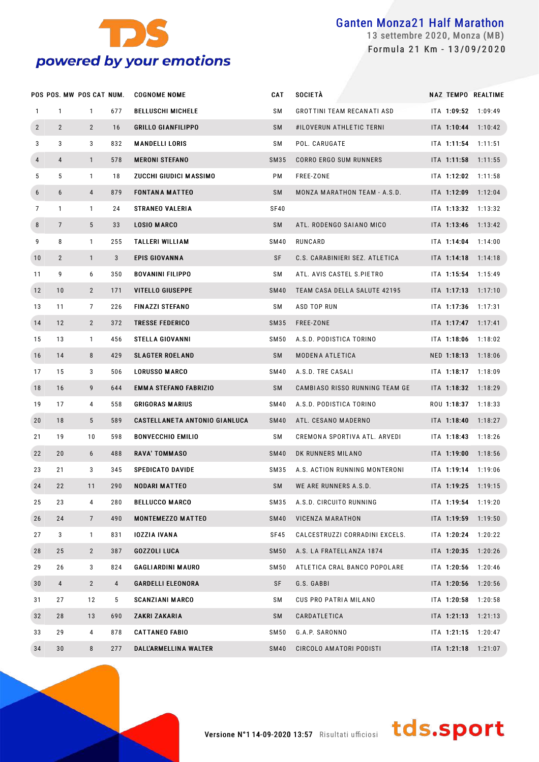

 settembre 2020, Monza (MB) Formula 21 Km - 13/09/2020

|              | POS POS. MW POS CAT NUM. |                 |                | <b>COGNOME NOME</b>           | CAT         | <b>SOCIETÀ</b>                 |             | NAZ TEMPO REALTIME      |
|--------------|--------------------------|-----------------|----------------|-------------------------------|-------------|--------------------------------|-------------|-------------------------|
| $\mathbf{1}$ | $\mathbf{1}$             | $\mathbf{1}$    | 677            | <b>BELLUSCHI MICHELE</b>      | SΜ          | GROTTINI TEAM RECANATI ASD     |             | ITA 1:09:52 1:09:49     |
| $\mathbf{2}$ | $\overline{2}$           | $\overline{2}$  | 16             | <b>GRILLO GIANFILIPPO</b>     | <b>SM</b>   | #ILOVERUN ATHLETIC TERNI       |             | $ITA$ 1:10:44 1:10:42   |
| 3            | 3                        | 3               | 832            | <b>MANDELLI LORIS</b>         | SΜ          | POL. CARUGATE                  | ITA 1:11:54 | 1:11:51                 |
| 4            | 4                        | $\mathbf{1}$    | 578            | <b>MERONI STEFANO</b>         | SM35        | CORRO ERGO SUM RUNNERS         |             | ITA 1:11:58 1:11:55     |
| 5            | 5                        | $\mathbf{1}$    | 18             | ZUCCHI GIUDICI MASSIMO        | РM          | FREE-ZONE                      | ITA 1:12:02 | 1:11:58                 |
| 6            | 6                        | $\overline{4}$  | 879            | <b>FONTANA MATTEO</b>         | SM          | MONZA MARATHON TEAM - A.S.D.   |             | ITA 1:12:09 1:12:04     |
| 7            | $\mathbf{1}$             | $\mathbf{1}$    | 24             | <b>STRANEO VALERIA</b>        | SF40        |                                | ITA 1:13:32 | 1:13:32                 |
| 8            | $\overline{7}$           | 5               | 33             | <b>LOSIO MARCO</b>            | SM          | ATL. RODENGO SAIANO MICO       |             | $ITA$ 1:13:46 1:13:42   |
| 9            | 8                        | $\mathbf{1}$    | 255            | <b>TALLERI WILLIAM</b>        | <b>SM40</b> | RUNCARD                        | ITA 1:14:04 | 1:14:00                 |
| 10           | $\overline{2}$           | $\mathbf{1}$    | 3              | <b>EPIS GIOVANNA</b>          | SF          | C.S. CARABINIERI SEZ. ATLETICA |             | $ITA$ 1:14:18 1:14:18   |
| 11           | 9                        | 6               | 350            | <b>BOVANINI FILIPPO</b>       | SΜ          | ATL. AVIS CASTEL S.PIETRO      | ITA 1:15:54 | 1:15:49                 |
| 12           | 10                       | $\overline{2}$  | 171            | <b>VITELLO GIUSEPPE</b>       | <b>SM40</b> | TEAM CASA DELLA SALUTE 42195   |             | ITA 1:17:13 1:17:10     |
| 13           | 11                       | $\overline{7}$  | 226            | <b>FINAZZI STEFANO</b>        | SΜ          | ASD TOP RUN                    | ITA 1:17:36 | 1:17:31                 |
| 14           | 12                       | $\overline{2}$  | 372            | <b>TRESSE FEDERICO</b>        | SM35        | FREE-ZONE                      |             | ITA $1:17:47$ $1:17:41$ |
| 15           | 13                       | $\mathbf{1}$    | 456            | <b>STELLA GIOVANNI</b>        | SM50        | A.S.D. PODISTICA TORINO        | ITA 1:18:06 | 1:18:02                 |
| 16           | 14                       | 8               | 429            | <b>SLAGTER ROELAND</b>        | SM          | MODENA ATLETICA                |             | NED 1:18:13 1:18:06     |
| 17           | 15                       | 3               | 506            | <b>LORUSSO MARCO</b>          | <b>SM40</b> | A.S.D. TRE CASALI              | ITA 1:18:17 | 1:18:09                 |
| 18           | 16                       | 9               | 644            | <b>EMMA STEFANO FABRIZIO</b>  | SM          | CAMBIASO RISSO RUNNING TEAM GE |             | $ITA$ 1:18:32 1:18:29   |
| 19           | 17                       | 4               | 558            | <b>GRIGORAS MARIUS</b>        | SM40        | A.S.D. PODISTICA TORINO        | ROU 1:18:37 | 1:18:33                 |
| 20           | 18                       | 5               | 589            | CASTELLANETA ANTONIO GIANLUCA | SM40        | ATL. CESANO MADERNO            |             | $ITA$ 1:18:40 1:18:27   |
| 21           | 19                       | 10              | 598            | <b>BONVECCHIO EMILIO</b>      | SΜ          | CREMONA SPORTIVA ATL. ARVEDI   | ITA 1:18:43 | 1:18:26                 |
| 22           | 20                       | 6               | 488            | <b>RAVA' TOMMASO</b>          | <b>SM40</b> | DK RUNNERS MILANO              |             | ITA 1:19:00 1:18:56     |
| 23           | 21                       | 3               | 345            | <b>SPEDICATO DAVIDE</b>       | SM35        | A.S. ACTION RUNNING MONTERONI  |             | ITA 1:19:14 1:19:06     |
| 24           | 22                       | 11              | 290            | <b>NODARI MATTEO</b>          | <b>SM</b>   | WE ARE RUNNERS A.S.D.          |             | ITA 1:19:25 1:19:15     |
| 25           | 23                       | 4               | 280            | <b>BELLUCCO MARCO</b>         | SM35        | A.S.D. CIRCUITO RUNNING        |             | $ITA$ 1:19:54 1:19:20   |
| 26           | 24                       | $7\phantom{.0}$ | 490            | <b>MONTEMEZZO MATTEO</b>      | SM40        | VICENZA MARATHON               | ITA 1:19:59 | 1:19:50                 |
| 27           | 3                        | $\mathbf{1}$    | 831            | <b>IOZZIA IVANA</b>           | SF45        | CALCESTRUZZI CORRADINI EXCELS. |             | ITA 1:20:24 1:20:22     |
| 28           | 25                       | $\mathbf{2}$    | 387            | <b>GOZZOLI LUCA</b>           | SM50        | A.S. LA FRATELLANZA 1874       | ITA 1:20:35 | 1:20:26                 |
| 29           | 26                       | 3               | 824            | <b>GAGLIARDINI MAURO</b>      | SM50        | ATLETICA CRAL BANCO POPOLARE   |             | ITA 1:20:56 1:20:46     |
| 30           | $\overline{4}$           | $2^{\circ}$     | $\overline{4}$ | <b>GARDELLI ELEONORA</b>      | SF          | G.S. GABBI                     | ITA 1:20:56 | 1:20:56                 |
| 31           | 27                       | 12              | 5              | <b>SCANZIANI MARCO</b>        | SΜ          | CUS PRO PATRIA MILANO          |             | ITA 1:20:58 1:20:58     |
| 32           | 28                       | 13              | 690            | ZAKRI ZAKARIA                 | SM          | CARDATLETICA                   | ITA 1:21:13 | 1:21:13                 |
| 33           | 29                       | 4               | 878            | <b>CATTANEO FABIO</b>         | SM50        | G.A.P. SARONNO                 |             | ITA 1:21:15 1:20:47     |
| 34           | 30                       | 8               | 277            | DALL'ARMELLINA WALTER         | SM40        | CIRCOLO AMATORI PODISTI        |             | ITA 1:21:18 1:21:07     |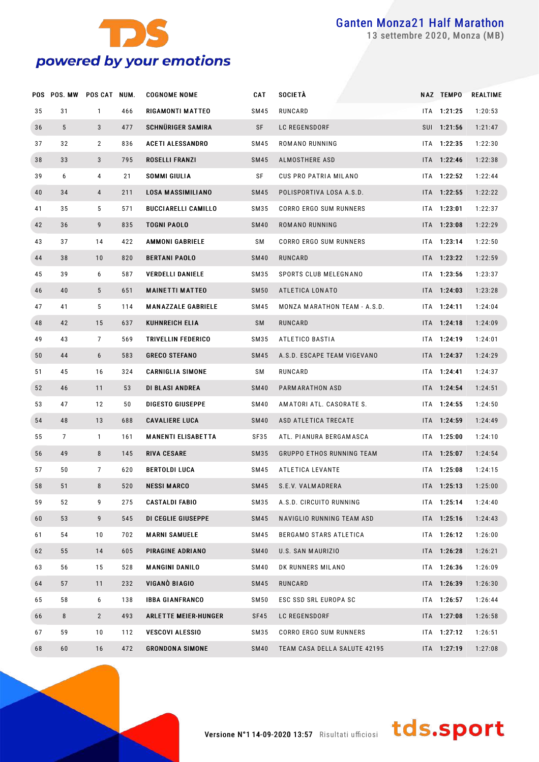

settembre 2020, Monza (MB)

|    | POS POS. MW | POS CAT NUM.   |     | <b>COGNOME NOME</b>         | <b>CAT</b>  | <b>SOCIETÀ</b>                   | NAZ TEMPO     | REALTIME |
|----|-------------|----------------|-----|-----------------------------|-------------|----------------------------------|---------------|----------|
| 35 | 31          | $\mathbf{1}$   | 466 | <b>RIGAMONTI MATTEO</b>     | SM45        | RUNCARD                          | ITA 1:21:25   | 1:20:53  |
| 36 | 5           | 3              | 477 | SCHNÜRIGER SAMIRA           | SF          | LC REGENSDORF                    | SUI 1:21:56   | 1:21:47  |
| 37 | 32          | $\overline{2}$ | 836 | <b>ACETI ALESSANDRO</b>     | SM45        | ROMANO RUNNING                   | ITA 1:22:35   | 1:22:30  |
| 38 | 33          | 3              | 795 | ROSELLI FRANZI              | SM45        | ALMOSTHERE ASD                   | ITA 1:22:46   | 1:22:38  |
| 39 | 6           | 4              | 21  | <b>SOMMI GIULIA</b>         | SF          | CUS PRO PATRIA MILANO            | ITA 1:22:52   | 1:22:44  |
| 40 | 34          | $\overline{4}$ | 211 | LOSA MASSIMILIANO           | SM45        | POLISPORTIVA LOSA A.S.D.         | ITA 1:22:55   | 1:22:22  |
| 41 | 35          | 5              | 571 | <b>BUCCIARELLI CAMILLO</b>  | SM35        | CORRO ERGO SUM RUNNERS           | ITA 1:23:01   | 1:22:37  |
| 42 | 36          | 9              | 835 | <b>TOGNI PAOLO</b>          | <b>SM40</b> | ROMANO RUNNING                   | ITA 1:23:08   | 1:22:29  |
| 43 | 37          | 14             | 422 | <b>AMMONI GABRIELE</b>      | SΜ          | CORRO ERGO SUM RUNNERS           | ITA 1:23:14   | 1:22:50  |
| 44 | 38          | 10             | 820 | <b>BERTANI PAOLO</b>        | <b>SM40</b> | RUNCARD                          | ITA 1:23:22   | 1:22:59  |
| 45 | 39          | 6              | 587 | <b>VERDELLI DANIELE</b>     | SM35        | SPORTS CLUB MELEGNANO            | ITA 1:23:56   | 1:23:37  |
| 46 | 40          | 5              | 651 | <b>MAINETTI MATTEO</b>      | <b>SM50</b> | ATLETICA LONATO                  | ITA 1:24:03   | 1:23:28  |
| 47 | 41          | 5              | 114 | <b>MANAZZALE GABRIELE</b>   | SM45        | MONZA MARATHON TEAM - A.S.D.     | ITA 1:24:11   | 1:24:04  |
| 48 | 42          | 15             | 637 | <b>KUHNREICH ELIA</b>       | SM          | RUNCARD                          | ITA 1:24:18   | 1:24:09  |
| 49 | 43          | $\overline{7}$ | 569 | TRIVELLIN FEDERICO          | SM35        | ATLETICO BASTIA                  | ITA 1:24:19   | 1:24:01  |
| 50 | 44          | 6              | 583 | <b>GRECO STEFANO</b>        | SM45        | A.S.D. ESCAPE TEAM VIGEVANO      | ITA 1:24:37   | 1:24:29  |
| 51 | 45          | 16             | 324 | <b>CARNIGLIA SIMONE</b>     | SΜ          | RUNCARD                          | ITA 1:24:41   | 1:24:37  |
| 52 | 46          | 11             | 53  | DI BLASI ANDREA             | <b>SM40</b> | PARMARATHON ASD                  | ITA 1:24:54   | 1:24:51  |
| 53 | 47          | 12             | 50  | <b>DIGESTO GIUSEPPE</b>     | <b>SM40</b> | AMATORI ATL. CASORATE S.         | ITA 1:24:55   | 1:24:50  |
| 54 | 48          | 13             | 688 | <b>CAVALIERE LUCA</b>       | <b>SM40</b> | ASD ATLETICA TRECATE             | ITA 1:24:59   | 1:24:49  |
| 55 | 7           | $\mathbf{1}$   | 161 | <b>MANENTI ELISABETTA</b>   | SF35        | ATL. PIANURA BERGAMASCA          | ITA 1:25:00   | 1:24:10  |
| 56 | 49          | 8              | 145 | <b>RIVA CESARE</b>          | SM35        | <b>GRUPPO ETHOS RUNNING TEAM</b> | ITA 1:25:07   | 1:24:54  |
| 57 | 50          | 7              | 620 | BERTOLDI LUCA               | SM45        | ATLETICA LEVANTE                 | ITA 1:25:08   | 1:24:15  |
| 58 | 51          | 8              | 520 | <b>NESSI MARCO</b>          | SM45        | S.E.V. VALMADRERA                | $ITA$ 1:25:13 | 1:25:00  |
| 59 | 52          | 9              | 275 | CASTALDI FABIO              | SM35        | A.S.D. CIRCUITO RUNNING          | ITA 1:25:14   | 1:24:40  |
| 60 | 53          | 9              | 545 | DI CEGLIE GIUSEPPE          | SM45        | NAVIGLIO RUNNING TEAM ASD        | ITA 1:25:16   | 1:24:43  |
| 61 | 54          | 10             | 702 | <b>MARNI SAMUELE</b>        | SM45        | BERGAMO STARS ATLETICA           | ITA 1:26:12   | 1:26:00  |
| 62 | 55          | 14             | 605 | PIRAGINE ADRIANO            | SM40        | U.S. SAN MAURIZIO                | ITA 1:26:28   | 1:26:21  |
| 63 | 56          | 15             | 528 | <b>MANGINI DANILO</b>       | SM40        | DK RUNNERS MILANO                | ITA 1:26:36   | 1:26:09  |
| 64 | 57          | 11             | 232 | VIGANÒ BIAGIO               | SM45        | RUNCARD                          | ITA 1:26:39   | 1:26:30  |
| 65 | 58          | 6              | 138 | <b>IBBA GIANFRANCO</b>      | SM50        | ESC SSD SRL EUROPA SC            | ITA 1:26:57   | 1:26:44  |
| 66 | 8           | $\overline{2}$ | 493 | <b>ARLETTE MEIER-HUNGER</b> | SF45        | LC REGENSDORF                    | ITA 1:27:08   | 1:26:58  |
| 67 | 59          | 10             | 112 | <b>VESCOVI ALESSIO</b>      | SM35        | CORRO ERGO SUM RUNNERS           | ITA 1:27:12   | 1:26:51  |
| 68 | 60          | 16             | 472 | <b>GRONDONA SIMONE</b>      | SM40        | TEAM CASA DELLA SALUTE 42195     | ITA 1:27:19   | 1:27:08  |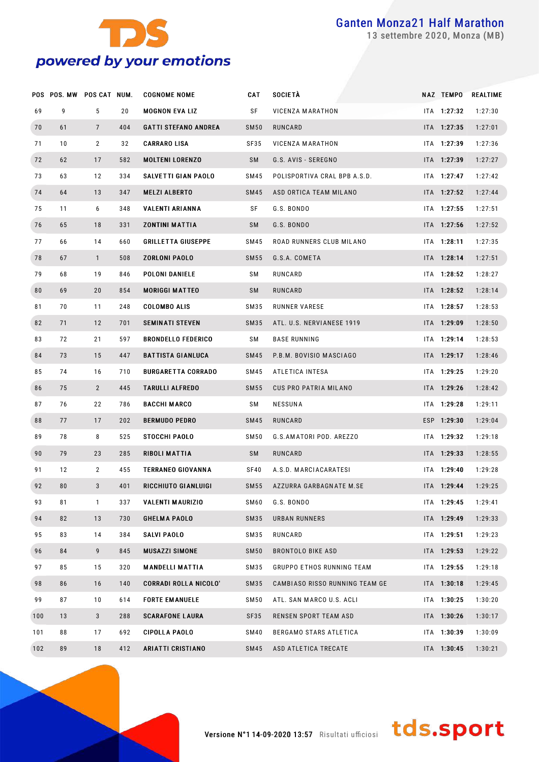

settembre 2020, Monza (MB)

|     | POS POS. MW POS CAT NUM. |                 |     | <b>COGNOME NOME</b>          | CAT         | <b>SOCIETÀ</b>                   | NAZ TEMPO   | <b>REALTIME</b> |
|-----|--------------------------|-----------------|-----|------------------------------|-------------|----------------------------------|-------------|-----------------|
| 69  | 9                        | 5               | 20  | <b>MOGNON EVALIZ</b>         | SF          | VICENZA MARATHON                 | ITA 1:27:32 | 1:27:30         |
| 70  | 61                       | $7\phantom{.0}$ | 404 | <b>GATTI STEFANO ANDREA</b>  | <b>SM50</b> | RUNCARD                          | ITA 1:27:35 | 1:27:01         |
| 71  | 10                       | $\mathbf{2}$    | 32  | <b>CARRARO LISA</b>          | SF35        | VICENZA MARATHON                 | ITA 1:27:39 | 1:27:36         |
| 72  | 62                       | 17              | 582 | <b>MOLTENI LORENZO</b>       | SM          | G.S. AVIS - SEREGNO              | ITA 1:27:39 | 1:27:27         |
| 73  | 63                       | 12              | 334 | SALVETTI GIAN PAOLO          | SM45        | POLISPORTIVA CRAL BPB A.S.D.     | ITA 1:27:47 | 1:27:42         |
| 74  | 64                       | 13              | 347 | <b>MELZI ALBERTO</b>         | SM45        | ASD ORTICA TEAM MILANO           | ITA 1:27:52 | 1:27:44         |
| 75  | 11                       | 6               | 348 | VALENTI ARIANNA              | SF          | G.S. BONDO                       | ITA 1:27:55 | 1:27:51         |
| 76  | 65                       | 18              | 331 | <b>ZONTINI MATTIA</b>        | SM          | G.S. BONDO                       | ITA 1:27:56 | 1:27:52         |
| 77  | 66                       | 14              | 660 | <b>GRILLETTA GIUSEPPE</b>    | SM45        | ROAD RUNNERS CLUB MILANO         | ITA 1:28:11 | 1:27:35         |
| 78  | 67                       | $\mathbf{1}$    | 508 | <b>ZORLONI PAOLO</b>         | SM55        | G.S.A. COMETA                    | ITA 1:28:14 | 1:27:51         |
| 79  | 68                       | 19              | 846 | POLONI DANIELE               | SΜ          | RUNCARD                          | ITA 1:28:52 | 1:28:27         |
| 80  | 69                       | 20              | 854 | <b>MORIGGI MATTEO</b>        | SM          | RUNCARD                          | ITA 1:28:52 | 1:28:14         |
| 81  | 70                       | 11              | 248 | <b>COLOMBO ALIS</b>          | SM35        | RUNNER VARESE                    | ITA 1:28:57 | 1:28:53         |
| 82  | 71                       | 12              | 701 | <b>SEMINATI STEVEN</b>       | SM35        | ATL. U.S. NERVIANESE 1919        | ITA 1:29:09 | 1:28:50         |
| 83  | 72                       | 21              | 597 | <b>BRONDELLO FEDERICO</b>    | SΜ          | <b>BASE RUNNING</b>              | ITA 1:29:14 | 1:28:53         |
| 84  | 73                       | 15              | 447 | <b>BATTISTA GIANLUCA</b>     | SM45        | P.B.M. BOVISIO MASCIAGO          | ITA 1:29:17 | 1:28:46         |
| 85  | 74                       | 16              | 710 | <b>BURGARETTA CORRADO</b>    | SM45        | ATLETICA INTESA                  | ITA 1:29:25 | 1:29:20         |
| 86  | 75                       | $\overline{2}$  | 445 | <b>TARULLI ALFREDO</b>       | <b>SM55</b> | CUS PRO PATRIA MILANO            | ITA 1:29:26 | 1:28:42         |
| 87  | 76                       | 22              | 786 | <b>BACCHI MARCO</b>          | SΜ          | <b>NESSUNA</b>                   | ITA 1:29:28 | 1:29:11         |
| 88  | 77                       | 17              | 202 | <b>BERMUDO PEDRO</b>         | SM45        | RUNCARD                          | ESP 1:29:30 | 1:29:04         |
| 89  | 78                       | 8               | 525 | <b>STOCCHI PAOLO</b>         | SM50        | G.S.AMATORI POD. AREZZO          | ITA 1:29:32 | 1:29:18         |
| 90  | 79                       | 23              | 285 | <b>RIBOLI MATTIA</b>         | SM          | RUNCARD                          | ITA 1:29:33 | 1:28:55         |
| 91  | 12                       | 2               | 455 | <b>TERRANEO GIOVANNA</b>     | SF40        | A.S.D. MARCIACARATESI            | ITA 1:29:40 | 1:29:28         |
| 92  | 80                       | 3               | 401 | <b>RICCHIUTO GIANLUIGI</b>   | <b>SM55</b> | AZZURRA GARBAGNATE M.SE          | ITA 1:29:44 | 1:29:25         |
| 93  | 81                       | $\mathbf{1}$    | 337 | <b>VALENTI MAURIZIO</b>      | SM60        | G.S. BONDO                       | ITA 1:29:45 | 1:29:41         |
| 94  | 82                       | 13              | 730 | <b>GHELMA PAOLO</b>          | SM35        | URBAN RUNNERS                    | ITA 1:29:49 | 1:29:33         |
| 95  | 83                       | 14              | 384 | <b>SALVI PAOLO</b>           | SM35        | RUNCARD                          | ITA 1:29:51 | 1:29:23         |
| 96  | 84                       | 9               | 845 | <b>MUSAZZI SIMONE</b>        | <b>SM50</b> | <b>BRONTOLO BIKE ASD</b>         | ITA 1:29:53 | 1:29:22         |
| 97  | 85                       | 15              | 320 | <b>MANDELLI MATTIA</b>       | SM35        | <b>GRUPPO ETHOS RUNNING TEAM</b> | ITA 1:29:55 | 1:29:18         |
| 98  | 86                       | 16              | 140 | <b>CORRADI ROLLA NICOLO'</b> | SM35        | CAMBIASO RISSO RUNNING TEAM GE   | ITA 1:30:18 | 1:29:45         |
| 99  | 87                       | 10              | 614 | <b>FORTE EMANUELE</b>        | SM50        | ATL. SAN MARCO U.S. ACLI         | ITA 1:30:25 | 1:30:20         |
| 100 | 13                       | $\mathbf{3}$    | 288 | <b>SCARAFONE LAURA</b>       | SF35        | RENSEN SPORT TEAM ASD            | ITA 1:30:26 | 1:30:17         |
| 101 | 88                       | 17              | 692 | <b>CIPOLLA PAOLO</b>         | SM40        | BERGAMO STARS ATLETICA           | ITA 1:30:39 | 1:30:09         |
| 102 | 89                       | 18              | 412 | <b>ARIATTI CRISTIANO</b>     | SM45        | ASD ATLETICA TRECATE             | ITA 1:30:45 | 1:30:21         |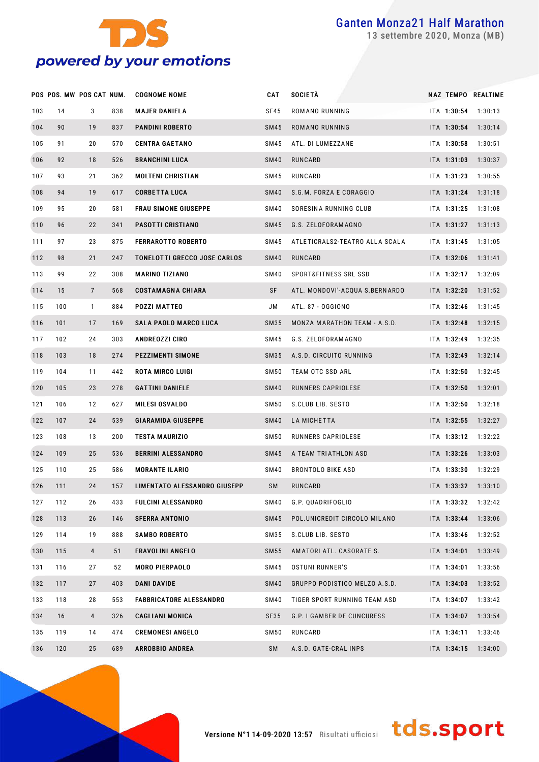

settembre 2020, Monza (MB)

|     | POS POS. MW POS CAT NUM. |                |     | <b>COGNOME NOME</b>                 | CAT              | <b>SOCIETÀ</b>                 |             | NAZ TEMPO REALTIME |
|-----|--------------------------|----------------|-----|-------------------------------------|------------------|--------------------------------|-------------|--------------------|
| 103 | 14                       | 3              | 838 | <b>MAJER DANIELA</b>                | SF45             | ROMANO RUNNING                 | ITA 1:30:54 | 1:30:13            |
| 104 | 90                       | 19             | 837 | <b>PANDINI ROBERTO</b>              | SM45             | ROMANO RUNNING                 | ITA 1:30:54 | 1:30:14            |
| 105 | 91                       | 20             | 570 | <b>CENTRA GAETANO</b>               | SM45             | ATL. DI LUMEZZANE              | ITA 1:30:58 | 1:30:51            |
| 106 | 92                       | 18             | 526 | <b>BRANCHINI LUCA</b>               | <b>SM40</b>      | RUNCARD                        | ITA 1:31:03 | 1:30:37            |
| 107 | 93                       | 21             | 362 | <b>MOLTENI CHRISTIAN</b>            | SM45             | RUNCARD                        | ITA 1:31:23 | 1:30:55            |
| 108 | 94                       | 19             | 617 | <b>CORBETTA LUCA</b>                | SM40             | S.G.M. FORZA E CORAGGIO        | ITA 1:31:24 | 1:31:18            |
| 109 | 95                       | 20             | 581 | <b>FRAU SIMONE GIUSEPPE</b>         | SM40             | SORESINA RUNNING CLUB          | ITA 1:31:25 | 1:31:08            |
| 110 | 96                       | 22             | 341 | PASOTTI CRISTIANO                   | SM45             | G.S. ZELOFORAMAGNO             | ITA 1:31:27 | 1:31:13            |
| 111 | 97                       | 23             | 875 | <b>FERRAROTTO ROBERTO</b>           | SM45             | ATLETICRALS2-TEATRO ALLA SCALA | ITA 1:31:45 | 1:31:05            |
| 112 | 98                       | 21             | 247 | <b>TONELOTTI GRECCO JOSE CARLOS</b> | SM40             | RUNCARD                        | ITA 1:32:06 | 1:31:41            |
| 113 | 99                       | 22             | 308 | <b>MARINO TIZIANO</b>               | SM40             | SPORT&FITNESS SRL SSD          | ITA 1:32:17 | 1:32:09            |
| 114 | 15                       | $\overline{7}$ | 568 | <b>COSTAMAGNA CHIARA</b>            | SF               | ATL. MONDOVI'-ACQUA S.BERNARDO | ITA 1:32:20 | 1:31:52            |
| 115 | 100                      | $\mathbf{1}$   | 884 | POZZI MATTEO                        | JM               | ATL. 87 - OGGIONO              | ITA 1:32:46 | 1:31:45            |
| 116 | 101                      | 17             | 169 | <b>SALA PAOLO MARCO LUCA</b>        | SM35             | MONZA MARATHON TEAM - A.S.D.   | ITA 1:32:48 | 1:32:15            |
| 117 | 102                      | 24             | 303 | <b>ANDREOZZI CIRO</b>               | SM45             | G.S. ZELOFORAM AGNO            | ITA 1:32:49 | 1:32:35            |
| 118 | 103                      | 18             | 274 | PEZZIMENTI SIMONE                   | SM35             | A.S.D. CIRCUITO RUNNING        | ITA 1:32:49 | 1:32:14            |
| 119 | 104                      | 11             | 442 | ROTA MIRCO LUIGI                    | SM <sub>50</sub> | TEAM OTC SSD ARL               | ITA 1:32:50 | 1:32:45            |
| 120 | 105                      | 23             | 278 | <b>GATTINI DANIELE</b>              | <b>SM40</b>      | RUNNERS CAPRIOLESE             | ITA 1:32:50 | 1:32:01            |
| 121 | 106                      | 12             | 627 | <b>MILESI OSVALDO</b>               | SM <sub>50</sub> | S.CLUB LIB. SESTO              | ITA 1:32:50 | 1:32:18            |
| 122 | 107                      | 24             | 539 | <b>GIARAMIDA GIUSEPPE</b>           | <b>SM40</b>      | LA MICHETTA                    | ITA 1:32:55 | 1:32:27            |
| 123 | 108                      | 13             | 200 | <b>TESTA MAURIZIO</b>               | SM50             | RUNNERS CAPRIOLESE             | ITA 1:33:12 | 1:32:22            |
| 124 | 109                      | 25             | 536 | <b>BERRINI ALESSANDRO</b>           | SM45             | A TEAM TRIATHLON ASD           | ITA 1:33:26 | 1:33:03            |
| 125 | 110                      | 25             | 586 | <b>MORANTE ILARIO</b>               | SM40             | <b>BRONTOLO BIKE ASD</b>       | ITA 1:33:30 | 1:32:29            |
| 126 | 111                      | 24             | 157 | LIMENTATO ALESSANDRO GIUSEPP        | <b>SM</b>        | RUNCARD                        | ITA 1:33:32 | 1:33:10            |
| 127 | 112                      | 26             | 433 | <b>FULCINI ALESSANDRO</b>           | SM40             | G.P. QUADRIFOGLIO              | ITA 1:33:32 | 1:32:42            |
| 128 | 113                      | 26             | 146 | <b>SFERRA ANTONIO</b>               | SM45             | POL.UNICREDIT CIRCOLO MILANO   | ITA 1:33:44 | 1:33:06            |
| 129 | 114                      | 19             | 888 | <b>SAMBO ROBERTO</b>                | SM35             | S.CLUB LIB. SESTO              | ITA 1:33:46 | 1:32:52            |
| 130 | 115                      | 4              | 51  | <b>FRAVOLINI ANGELO</b>             | SM55             | AMATORI ATL. CASORATE S.       | ITA 1:34:01 | 1:33:49            |
| 131 | 116                      | 27             | 52  | <b>MORO PIERPAOLO</b>               | SM45             | <b>OSTUNI RUNNER'S</b>         | ITA 1:34:01 | 1:33:56            |
| 132 | 117                      | 27             | 403 | <b>DANI DAVIDE</b>                  | <b>SM40</b>      | GRUPPO PODISTICO MELZO A.S.D.  | ITA 1:34:03 | 1:33:52            |
| 133 | 118                      | 28             | 553 | <b>FABBRICATORE ALESSANDRO</b>      | SM40             | TIGER SPORT RUNNING TEAM ASD   | ITA 1:34:07 | 1:33:42            |
| 134 | 16                       | 4              | 326 | <b>CAGLIANI MONICA</b>              | SF35             | G.P. I GAMBER DE CUNCURESS     | ITA 1:34:07 | 1:33:54            |
| 135 | 119                      | 14             | 474 | <b>CREMONESI ANGELO</b>             | <b>SM50</b>      | RUNCARD                        | ITA 1:34:11 | 1:33:46            |
| 136 | 120                      | 25             | 689 | <b>ARROBBIO ANDREA</b>              | <b>SM</b>        | A.S.D. GATE-CRAL INPS          | ITA 1:34:15 | 1:34:00            |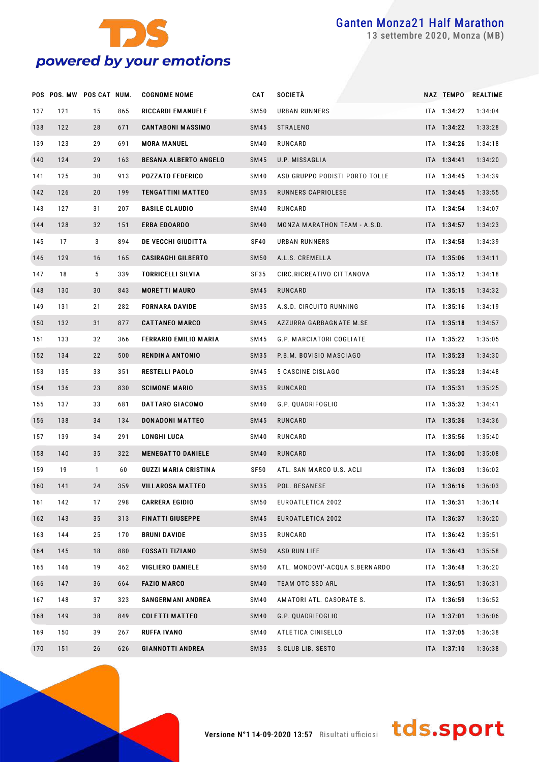

settembre 2020, Monza (MB)

|     | POS POS. MW POS CAT NUM. |              |     | <b>COGNOME NOME</b>          | CAT         | <b>SOCIETÀ</b>                 |             | NAZ TEMPO REALTIME |
|-----|--------------------------|--------------|-----|------------------------------|-------------|--------------------------------|-------------|--------------------|
| 137 | 121                      | 15           | 865 | RICCARDI EM ANUELE           | SM50        | URBAN RUNNERS                  | ITA 1:34:22 | 1:34:04            |
| 138 | 122                      | 28           | 671 | <b>CANTABONI MASSIMO</b>     | SM45        | <b>STRALENO</b>                | ITA 1:34:22 | 1:33:28            |
| 139 | 123                      | 29           | 691 | <b>MORA MANUEL</b>           | SM40        | RUNCARD                        | ITA 1:34:26 | 1:34:18            |
| 140 | 124                      | 29           | 163 | <b>BESANA ALBERTO ANGELO</b> | SM45        | U.P. MISSAGLIA                 | ITA 1:34:41 | 1:34:20            |
| 141 | 125                      | 30           | 913 | <b>POZZATO FEDERICO</b>      | SM40        | ASD GRUPPO PODISTI PORTO TOLLE | ITA 1:34:45 | 1:34:39            |
| 142 | 126                      | 20           | 199 | TENGATTINI MATTEO            | SM35        | RUNNERS CAPRIOLESE             | ITA 1:34:45 | 1:33:55            |
| 143 | 127                      | 31           | 207 | <b>BASILE CLAUDIO</b>        | SM40        | RUNCARD                        | ITA 1:34:54 | 1:34:07            |
| 144 | 128                      | 32           | 151 | <b>ERBA EDOARDO</b>          | <b>SM40</b> | MONZA MARATHON TEAM - A.S.D.   | ITA 1:34:57 | 1:34:23            |
| 145 | 17                       | 3            | 894 | DE VECCHI GIUDITTA           | SF40        | URBAN RUNNERS                  | ITA 1:34:58 | 1:34:39            |
| 146 | 129                      | 16           | 165 | <b>CASIRAGHI GILBERTO</b>    | <b>SM50</b> | A.L.S. CREMELLA                | ITA 1:35:06 | 1:34:11            |
| 147 | 18                       | 5            | 339 | <b>TORRICELLI SILVIA</b>     | SF35        | CIRC.RICREATIVO CITTANOVA      | ITA 1:35:12 | 1:34:18            |
| 148 | 130                      | 30           | 843 | <b>MORETTI MAURO</b>         | SM45        | RUNCARD                        | ITA 1:35:15 | 1:34:32            |
| 149 | 131                      | 21           | 282 | <b>FORNARA DAVIDE</b>        | SM35        | A.S.D. CIRCUITO RUNNING        | ITA 1:35:16 | 1:34:19            |
| 150 | 132                      | 31           | 877 | <b>CATTANEO MARCO</b>        | SM45        | AZZURRA GARBAGNATE M.SE        | ITA 1:35:18 | 1:34:57            |
| 151 | 133                      | 32           | 366 | FERRARIO EMILIO MARIA        | SM45        | G.P. MARCIATORI COGLIATE       | ITA 1:35:22 | 1:35:05            |
| 152 | 134                      | 22           | 500 | <b>RENDINA ANTONIO</b>       | SM35        | P.B.M. BOVISIO MASCIAGO        | ITA 1:35:23 | 1:34:30            |
| 153 | 135                      | 33           | 351 | <b>RESTELLI PAOLO</b>        | SM45        | 5 CASCINE CISLAGO              | ITA 1:35:28 | 1:34:48            |
| 154 | 136                      | 23           | 830 | <b>SCIMONE MARIO</b>         | SM35        | RUNCARD                        | ITA 1:35:31 | 1:35:25            |
| 155 | 137                      | 33           | 681 | DATTARO GIACOMO              | SM40        | G.P. QUADRIFOGLIO              | ITA 1:35:32 | 1:34:41            |
| 156 | 138                      | 34           | 134 | <b>DONADONI MATTEO</b>       | SM45        | RUNCARD                        | ITA 1:35:36 | 1:34:36            |
| 157 | 139                      | 34           | 291 | LONGHI LUCA                  | SM40        | RUNCARD                        | ITA 1:35:56 | 1:35:40            |
| 158 | 140                      | 35           | 322 | <b>MENEGATTO DANIELE</b>     | <b>SM40</b> | RUNCARD                        | ITA 1:36:00 | 1:35:08            |
| 159 | 19                       | $\mathbf{1}$ | 60  | <b>GUZZI MARIA CRISTINA</b>  | SF50        | ATL. SAN MARCO U.S. ACLI       | ITA 1:36:03 | 1:36:02            |
| 160 | 141                      | 24           | 359 | <b>VILLAROSA MATTEO</b>      | SM35        | POL. BESANESE                  | ITA 1:36:16 | 1:36:03            |
| 161 | 142                      | 17           | 298 | <b>CARRERA EGIDIO</b>        | <b>SM50</b> | EUROATLETICA 2002              | ITA 1:36:31 | 1:36:14            |
| 162 | 143                      | 35           | 313 | <b>FINATTI GIUSEPPE</b>      | SM45        | EUROATLETICA 2002              | ITA 1:36:37 | 1:36:20            |
| 163 | 144                      | 25           | 170 | <b>BRUNI DAVIDE</b>          | SM35        | RUNCARD                        | ITA 1:36:42 | 1:35:51            |
| 164 | 145                      | 18           | 880 | <b>FOSSATI TIZIANO</b>       | <b>SM50</b> | ASD RUN LIFE                   | ITA 1:36:43 | 1:35:58            |
| 165 | 146                      | 19           | 462 | <b>VIGLIERO DANIELE</b>      | SM50        | ATL. MONDOVI'-ACQUA S.BERNARDO | ITA 1:36:48 | 1:36:20            |
| 166 | 147                      | 36           | 664 | <b>FAZIO MARCO</b>           | <b>SM40</b> | <b>TEAM OTC SSD ARL</b>        | ITA 1:36:51 | 1:36:31            |
| 167 | 148                      | 37           | 323 | <b>SANGERMANI ANDREA</b>     | SM40        | AMATORI ATL. CASORATE S.       | ITA 1:36:59 | 1:36:52            |
| 168 | 149                      | 38           | 849 | <b>COLETTI MATTEO</b>        | <b>SM40</b> | G.P. QUADRIFOGLIO              | ITA 1:37:01 | 1:36:06            |
| 169 | 150                      | 39           | 267 | RUFFA IVANO                  | SM40        | ATLETICA CINISELLO             | ITA 1:37:05 | 1:36:38            |
| 170 | 151                      | 26           | 626 | <b>GIANNOTTI ANDREA</b>      | SM35        | S.CLUB LIB. SESTO              | ITA 1:37:10 | 1:36:38            |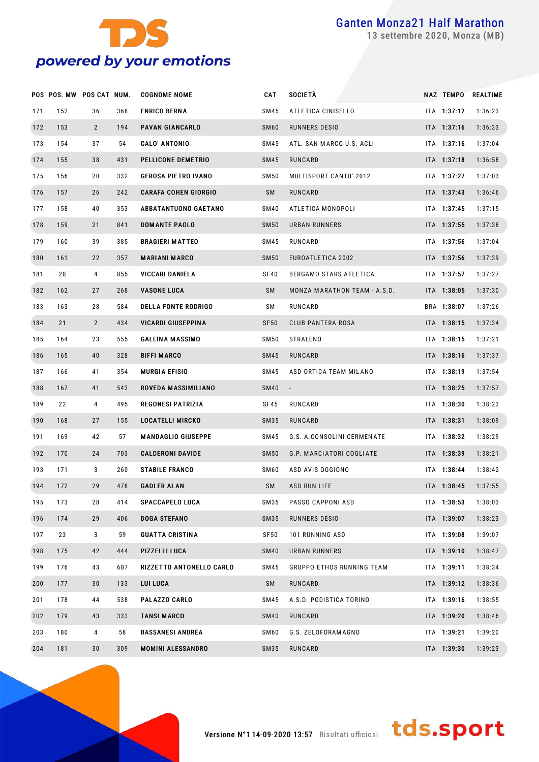

settembre 2020, Monza (MB)

|     | POS POS. MW POS CAT NUM. |                |     | <b>COGNOME NOME</b>         | CAT              | SOCIETÀ                          | NAZ TEMPO     | REALTIME |
|-----|--------------------------|----------------|-----|-----------------------------|------------------|----------------------------------|---------------|----------|
| 171 | 152                      | 36             | 368 | <b>ENRICO BERNA</b>         | SM45             | ATLETICA CINISELLO               | ITA 1:37:12   | 1:36:23  |
| 172 | 153                      | $\overline{2}$ | 194 | <b>PAVAN GIANCARLO</b>      | SM <sub>60</sub> | RUNNERS DESIO                    | ITA 1:37:16   | 1:36:33  |
| 173 | 154                      | 37             | 54  | <b>CALO' ANTONIO</b>        | SM45             | ATL. SAN MARCO U.S. ACLI         | ITA 1:37:16   | 1:37:04  |
| 174 | 155                      | 38             | 431 | PELLICONE DEMETRIO          | SM45             | RUNCARD                          | ITA 1:37:18   | 1:36:58  |
| 175 | 156                      | 20             | 332 | <b>GEROSA PIETRO IVANO</b>  | SM50             | MULTISPORT CANTU' 2012           | ITA 1:37:27   | 1:37:03  |
| 176 | 157                      | 26             | 242 | <b>CARAFA COHEN GIORGIO</b> | SM               | RUNCARD                          | ITA 1:37:43   | 1:36:46  |
| 177 | 158                      | 40             | 353 | <b>ABBATANTUONO GAETANO</b> | SM40             | ATLETICA MONOPOLI                | ITA 1:37:45   | 1:37:15  |
| 178 | 159                      | 21             | 841 | <b>DOMANTE PAOLO</b>        | <b>SM50</b>      | URBAN RUNNERS                    | ITA 1:37:55   | 1:37:38  |
| 179 | 160                      | 39             | 385 | <b>BRAGIERI MATTEO</b>      | SM45             | RUNCARD                          | ITA 1:37:56   | 1:37:04  |
| 180 | 161                      | 22             | 357 | <b>MARIANI MARCO</b>        | <b>SM50</b>      | EUROATLETICA 2002                | ITA 1:37:56   | 1:37:39  |
| 181 | 20                       | 4              | 855 | VICCARI DANIELA             | SF40             | BERGAMO STARS ATLETICA           | ITA 1:37:57   | 1:37:27  |
| 182 | 162                      | 27             | 268 | <b>VASONE LUCA</b>          | SM               | MONZA MARATHON TEAM - A.S.D.     | ITA 1:38:05   | 1:37:30  |
| 183 | 163                      | 28             | 584 | <b>DELLA FONTE RODRIGO</b>  | SM               | RUNCARD                          | BRA 1:38:07   | 1:37:26  |
| 184 | 21                       | $\overline{2}$ | 434 | VICARDI GIUSEPPINA          | SF <sub>50</sub> | CLUB PANTERA ROSA                | ITA 1:38:15   | 1:37:34  |
| 185 | 164                      | 23             | 555 | <b>GALLINA MASSIMO</b>      | SM50             | <b>STRALENO</b>                  | ITA 1:38:15   | 1:37:21  |
| 186 | 165                      | 40             | 328 | <b>BIFFI MARCO</b>          | SM45             | RUNCARD                          | ITA 1:38:16   | 1:37:37  |
| 187 | 166                      | 41             | 354 | <b>MURGIA EFISIO</b>        | SM45             | ASD ORTICA TEAM MILANO           | $ITA$ 1:38:19 | 1:37:54  |
| 188 | 167                      | 41             | 543 | ROVEDA MASSIMILIANO         | <b>SM40</b>      | $\sim$                           | ITA 1:38:25   | 1:37:57  |
| 189 | 22                       | 4              | 495 | <b>REGONESI PATRIZIA</b>    | SF45             | RUNCARD                          | ITA 1:38:30   | 1:38:23  |
| 190 | 168                      | 27             | 155 | <b>LOCATELLI MIRCKO</b>     | SM35             | RUNCARD                          | ITA 1:38:31   | 1:38:09  |
| 191 | 169                      | 42             | 57  | <b>MANDAGLIO GIUSEPPE</b>   | SM45             | G.S. A.CONSOLINI CERMENATE       | ITA 1:38:32   | 1:38:29  |
| 192 | 170                      | 24             | 703 | <b>CALDERONI DAVIDE</b>     | <b>SM50</b>      | G.P. MARCIATORI COGLIATE         | ITA 1:38:39   | 1:38:21  |
| 193 | 171                      | 3              | 260 | <b>STABILE FRANCO</b>       | SM60             | ASD AVIS OGGIONO                 | ITA 1:38:44   | 1:38:42  |
| 194 | 172                      | 29             | 478 | <b>GADLER ALAN</b>          | SM               | ASD RUN LIFE                     | ITA 1:38:45   | 1:37:55  |
| 195 | 173                      | 28             | 414 | <b>SPACCAPELO LUCA</b>      | SM35             | PASSO CAPPONI ASD                | ITA 1:38:53   | 1:38:03  |
| 196 | 174                      | 29             | 406 | <b>DOGA STEFANO</b>         | SM35             | RUNNERS DESIO                    | ITA 1:39:07   | 1:38:23  |
| 197 | 23                       | 3              | 59  | <b>GUATTA CRISTINA</b>      | SF50             | 101 RUNNING ASD                  | ITA 1:39:08   | 1:39:07  |
| 198 | 175                      | 42             | 444 | PIZZELLI LUCA               | <b>SM40</b>      | URBAN RUNNERS                    | ITA 1:39:10   | 1:38:47  |
| 199 | 176                      | 43             | 607 | RIZZETTO ANTONELLO CARLO    | SM45             | <b>GRUPPO ETHOS RUNNING TEAM</b> | ITA 1:39:11   | 1:38:34  |
| 200 | 177                      | 30             | 133 | <b>LUI LUCA</b>             | SM               | RUNCARD                          | ITA 1:39:12   | 1:38:36  |
| 201 | 178                      | 44             | 538 | PALAZZO CARLO               | SM45             | A.S.D. PODISTICA TORINO          | ITA 1:39:16   | 1:38:55  |
| 202 | 179                      | 43             | 333 | <b>TANSI MARCO</b>          | <b>SM40</b>      | RUNCARD                          | ITA 1:39:20   | 1:38:46  |
| 203 | 180                      | 4              | 58  | <b>BASSANESI ANDREA</b>     | SM60             | G.S. ZELOFORAM AGNO              | ITA 1:39:21   | 1:39:20  |
| 204 | 181                      | 30             | 309 | <b>MOMINI ALESSANDRO</b>    | SM35             | RUNCARD                          | ITA 1:39:30   | 1:39:23  |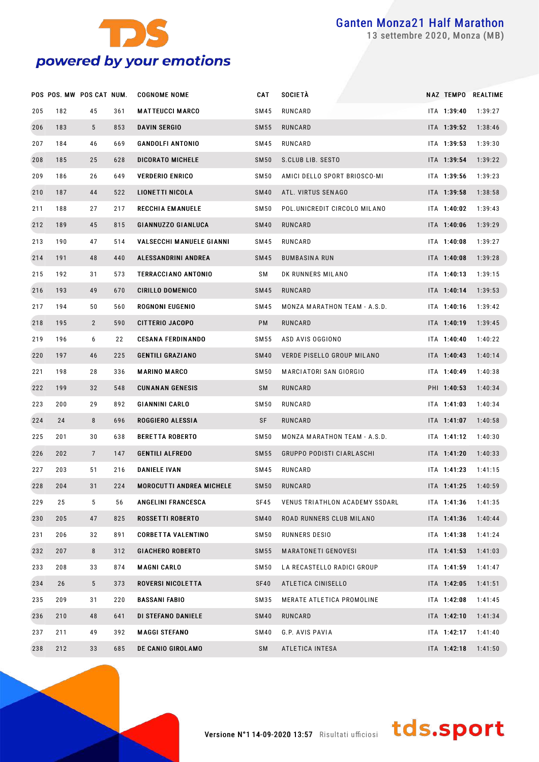

settembre 2020, Monza (MB)

|     | POS POS. MW POS CAT NUM. |                |     | <b>COGNOME NOME</b>             | CAT         | <b>SOCIETÀ</b>                   |             | NAZ TEMPO REALTIME |
|-----|--------------------------|----------------|-----|---------------------------------|-------------|----------------------------------|-------------|--------------------|
| 205 | 182                      | 45             | 361 | <b>MATTEUCCI MARCO</b>          | SM45        | RUNCARD                          | ITA 1:39:40 | 1:39:27            |
| 206 | 183                      | 5              | 853 | <b>DAVIN SERGIO</b>             | SM 55       | RUNCARD                          | ITA 1:39:52 | 1:38:46            |
| 207 | 184                      | 46             | 669 | <b>GANDOLFI ANTONIO</b>         | SM45        | RUNCARD                          | ITA 1:39:53 | 1:39:30            |
| 208 | 185                      | 25             | 628 | <b>DICORATO MICHELE</b>         | <b>SM50</b> | S.CLUB LIB. SESTO                | ITA 1:39:54 | 1:39:22            |
| 209 | 186                      | 26             | 649 | <b>VERDERIO ENRICO</b>          | SM 50       | AMICI DELLO SPORT BRIOSCO-MI     | ITA 1:39:56 | 1:39:23            |
| 210 | 187                      | 44             | 522 | LIONETTI NICOLA                 | <b>SM40</b> | ATL. VIRTUS SENAGO               | ITA 1:39:58 | 1:38:58            |
| 211 | 188                      | 27             | 217 | <b>RECCHIA EMANUELE</b>         | SM50        | POL.UNICREDIT CIRCOLO MILANO     | ITA 1:40:02 | 1:39:43            |
| 212 | 189                      | 45             | 815 | <b>GIANNUZZO GIANLUCA</b>       | <b>SM40</b> | RUNCARD                          | ITA 1:40:06 | 1:39:29            |
| 213 | 190                      | 47             | 514 | <b>VALSECCHI MANUELE GIANNI</b> | SM45        | RUNCARD                          | ITA 1:40:08 | 1:39:27            |
| 214 | 191                      | 48             | 440 | ALESSANDRINI ANDREA             | SM45        | <b>BUMBASINA RUN</b>             | ITA 1:40:08 | 1:39:28            |
| 215 | 192                      | 31             | 573 | <b>TERRACCIANO ANTONIO</b>      | SΜ          | DK RUNNERS MILANO                | ITA 1:40:13 | 1:39:15            |
| 216 | 193                      | 49             | 670 | <b>CIRILLO DOMENICO</b>         | SM45        | RUNCARD                          | ITA 1:40:14 | 1:39:53            |
| 217 | 194                      | 50             | 560 | ROGNONI EUGENIO                 | SM45        | MONZA MARATHON TEAM - A.S.D.     | ITA 1:40:16 | 1:39:42            |
| 218 | 195                      | $\overline{2}$ | 590 | <b>CITTERIO JACOPO</b>          | PM          | RUNCARD                          | ITA 1:40:19 | 1:39:45            |
| 219 | 196                      | 6              | 22  | <b>CESANA FERDINANDO</b>        | SM 55       | ASD AVIS OGGIONO                 | ITA 1:40:40 | 1:40:22            |
| 220 | 197                      | 46             | 225 | <b>GENTILI GRAZIANO</b>         | <b>SM40</b> | VERDE PISELLO GROUP MILANO       | ITA 1:40:43 | 1:40:14            |
| 221 | 198                      | 28             | 336 | <b>MARINO MARCO</b>             | SM 50       | MARCIATORI SAN GIORGIO           | ITA 1:40:49 | 1:40:38            |
| 222 | 199                      | 32             | 548 | <b>CUNANAN GENESIS</b>          | SM          | RUNCARD                          | PHI 1:40:53 | 1:40:34            |
| 223 | 200                      | 29             | 892 | <b>GIANNINI CARLO</b>           | <b>SM50</b> | RUNCARD                          | ITA 1:41:03 | 1:40:34            |
| 224 | 24                       | 8              | 696 | ROGGIERO ALESSIA                | SF          | RUNCARD                          | ITA 1:41:07 | 1:40:58            |
| 225 | 201                      | 30             | 638 | <b>BERETTA ROBERTO</b>          | SM 50       | MONZA MARATHON TEAM - A.S.D.     | ITA 1:41:12 | 1:40:30            |
| 226 | 202                      | $\overline{7}$ | 147 | <b>GENTILI ALFREDO</b>          | SM 55       | <b>GRUPPO PODISTI CIARLASCHI</b> | ITA 1:41:20 | 1:40:33            |
| 227 | 203                      | 51             | 216 | <b>DANIELE IVAN</b>             | SM45        | RUNCARD                          | ITA 1:41:23 | 1:41:15            |
| 228 | 204                      | 31             | 224 | <b>MOROCUTTI ANDREA MICHELE</b> | <b>SM50</b> | RUNCARD                          | ITA 1:41:25 | 1:40:59            |
| 229 | 25                       | 5              | 56  | <b>ANGELINI FRANCESCA</b>       | SF45        | VENUS TRIATHLON ACADEMY SSDARL   | ITA 1:41:36 | 1:41:35            |
| 230 | 205                      | 47             | 825 | <b>ROSSETTI ROBERTO</b>         | <b>SM40</b> | ROAD RUNNERS CLUB MILANO         | ITA 1:41:36 | 1:40:44            |
| 231 | 206                      | 32             | 891 | <b>CORBETTA VALENTINO</b>       | <b>SM50</b> | RUNNERS DESIO                    | ITA 1:41:38 | 1:41:24            |
| 232 | 207                      | 8              | 312 | <b>GIACHERO ROBERTO</b>         | <b>SM55</b> | <b>MARATONETI GENOVESI</b>       | ITA 1:41:53 | 1:41:03            |
| 233 | 208                      | 33             | 874 | <b>MAGNI CARLO</b>              | <b>SM50</b> | LA RECASTELLO RADICI GROUP       | ITA 1:41:59 | 1:41:47            |
| 234 | 26                       | 5 <sup>5</sup> | 373 | <b>ROVERSI NICOLETTA</b>        | SF40        | ATLETICA CINISELLO               | ITA 1:42:05 | 1:41:51            |
| 235 | 209                      | 31             | 220 | <b>BASSANI FABIO</b>            | SM35        | MERATE ATLETICA PROMOLINE        | ITA 1:42:08 | 1:41:45            |
| 236 | 210                      | 48             | 641 | DI STEFANO DANIELE              | <b>SM40</b> | RUNCARD                          | ITA 1:42:10 | 1:41:34            |
| 237 | 211                      | 49             | 392 | <b>MAGGI STEFANO</b>            | <b>SM40</b> | G.P. AVIS PAVIA                  | ITA 1:42:17 | 1:41:40            |
| 238 | 212                      | 33             | 685 | DE CANIO GIROLAMO               | SM          | ATLETICA INTESA                  | ITA 1:42:18 | 1:41:50            |

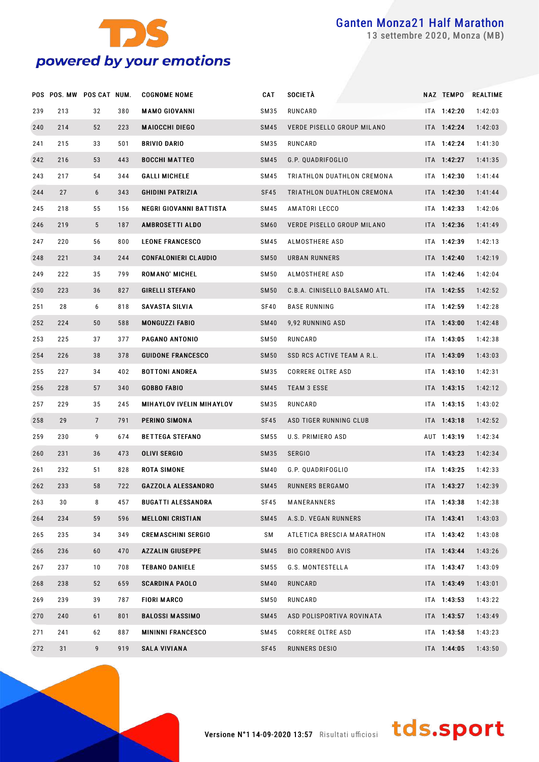

settembre 2020, Monza (MB)

|     | POS POS. MW POS CAT NUM. |                |     | <b>COGNOME NOME</b>             | <b>CAT</b>       | <b>SOCIETÀ</b>                | <b>NAZ TEMPO</b> | REALTIME |
|-----|--------------------------|----------------|-----|---------------------------------|------------------|-------------------------------|------------------|----------|
| 239 | 213                      | 32             | 380 | <b>MAMO GIOVANNI</b>            | SM35             | RUNCARD                       | ITA 1:42:20      | 1:42:03  |
| 240 | 214                      | 52             | 223 | <b>MAIOCCHI DIEGO</b>           | SM45             | VERDE PISELLO GROUP MILANO    | ITA 1:42:24      | 1:42:03  |
| 241 | 215                      | 33             | 501 | BRIVIO DARIO                    | SM35             | RUNCARD                       | ITA 1:42:24      | 1:41:30  |
| 242 | 216                      | 53             | 443 | <b>BOCCHI MATTEO</b>            | SM45             | G.P. QUADRIFOGLIO             | ITA 1:42:27      | 1:41:35  |
| 243 | 217                      | 54             | 344 | GALLI MICHELE                   | SM45             | TRIATHLON DUATHLON CREMONA    | ITA 1:42:30      | 1:41:44  |
| 244 | 27                       | 6              | 343 | <b>GHIDINI PATRIZIA</b>         | SF45             | TRIATHLON DUATHLON CREMONA    | ITA 1:42:30      | 1:41:44  |
| 245 | 218                      | 55             | 156 | NEGRI GIOVANNI BATTISTA         | SM45             | AMATORI LECCO                 | ITA 1:42:33      | 1:42:06  |
| 246 | 219                      | 5              | 187 | <b>AMBROSETTI ALDO</b>          | SM <sub>60</sub> | VERDE PISELLO GROUP MILANO    | ITA 1:42:36      | 1:41:49  |
| 247 | 220                      | 56             | 800 | <b>LEONE FRANCESCO</b>          | SM45             | ALMOSTHERE ASD                | ITA 1:42:39      | 1:42:13  |
| 248 | 221                      | 34             | 244 | <b>CONFALONIERI CLAUDIO</b>     | <b>SM50</b>      | URBAN RUNNERS                 | ITA 1:42:40      | 1:42:19  |
| 249 | 222                      | 35             | 799 | <b>ROMANO' MICHEL</b>           | SM 50            | ALMOSTHERE ASD                | ITA 1:42:46      | 1:42:04  |
| 250 | 223                      | 36             | 827 | <b>GIRELLI STEFANO</b>          | <b>SM50</b>      | C.B.A. CINISELLO BALSAMO ATL. | ITA 1:42:55      | 1:42:52  |
| 251 | 28                       | 6              | 818 | SAVASTA SILVIA                  | SF40             | <b>BASE RUNNING</b>           | ITA 1:42:59      | 1:42:28  |
| 252 | 224                      | 50             | 588 | <b>MONGUZZI FABIO</b>           | <b>SM40</b>      | 9,92 RUNNING ASD              | ITA 1:43:00      | 1:42:48  |
| 253 | 225                      | 37             | 377 | PAGANO ANTONIO                  | SM 50            | RUNCARD                       | ITA 1:43:05      | 1:42:38  |
| 254 | 226                      | 38             | 378 | <b>GUIDONE FRANCESCO</b>        | <b>SM50</b>      | SSD RCS ACTIVE TEAM A R.L.    | ITA 1:43:09      | 1:43:03  |
| 255 | 227                      | 34             | 402 | <b>BOTTONI ANDREA</b>           | SM35             | <b>CORRERE OLTRE ASD</b>      | ITA 1:43:10      | 1:42:31  |
| 256 | 228                      | 57             | 340 | <b>GOBBO FABIO</b>              | SM45             | <b>TEAM 3 ESSE</b>            | ITA 1:43:15      | 1:42:12  |
| 257 | 229                      | 35             | 245 | <b>MIHAYLOV IVELIN MIHAYLOV</b> | SM35             | RUNCARD                       | ITA 1:43:15      | 1:43:02  |
| 258 | 29                       | $\overline{7}$ | 791 | PERINO SIMONA                   | SF45             | ASD TIGER RUNNING CLUB        | ITA 1:43:18      | 1:42:52  |
| 259 | 230                      | 9              | 674 | <b>BETTEGA STEFANO</b>          | SM 55            | U.S. PRIMIERO ASD             | AUT 1:43:19      | 1:42:34  |
| 260 | 231                      | 36             | 473 | OLIVI SERGIO                    | SM35             | <b>SERGIO</b>                 | ITA 1:43:23      | 1:42:34  |
| 261 | 232                      | 51             | 828 | <b>ROTA SIMONE</b>              | SM40             | G.P. QUADRIFOGLIO             | ITA 1:43:25      | 1:42:33  |
| 262 | 233                      | 58             | 722 | <b>GAZZOLA ALESSANDRO</b>       | SM45             | <b>RUNNERS BERGAMO</b>        | ITA 1:43:27      | 1:42:39  |
| 263 | 30                       | 8              | 457 | <b>BUGATTI ALESSANDRA</b>       | SF45             | MANERANNERS                   | ITA 1:43:38      | 1:42:38  |
| 264 | 234                      | 59             | 596 | <b>MELLONI CRISTIAN</b>         | SM45             | A.S.D. VEGAN RUNNERS          | $ITA$ 1:43:41    | 1:43:03  |
| 265 | 235                      | 34             | 349 | <b>CREMASCHINI SERGIO</b>       | SM               | ATLETICA BRESCIA MARATHON     | ITA 1:43:42      | 1:43:08  |
| 266 | 236                      | 60             | 470 | <b>AZZALIN GIUSEPPE</b>         | SM45             | <b>BIO CORRENDO AVIS</b>      | ITA 1:43:44      | 1:43:26  |
| 267 | 237                      | 10             | 708 | <b>TEBANO DANIELE</b>           | SM 55            | G.S. MONTESTELLA              | ITA 1:43:47      | 1:43:09  |
| 268 | 238                      | 52             | 659 | SCARDINA PAOLO                  | <b>SM40</b>      | RUNCARD                       | ITA 1:43:49      | 1:43:01  |
| 269 | 239                      | 39             | 787 | <b>FIORI MARCO</b>              | SM 50            | RUNCARD                       | ITA 1:43:53      | 1:43:22  |
| 270 | 240                      | 61             | 801 | <b>BALOSSI MASSIMO</b>          | SM45             | ASD POLISPORTIVA ROVINATA     | ITA 1:43:57      | 1:43:49  |
| 271 | 241                      | 62             | 887 | <b>MININNI FRANCESCO</b>        | SM45             | CORRERE OLTRE ASD             | ITA 1:43:58      | 1:43:23  |
| 272 | 31                       | 9              | 919 | SALA VIVIANA                    | SF45             | RUNNERS DESIO                 | ITA 1:44:05      | 1:43:50  |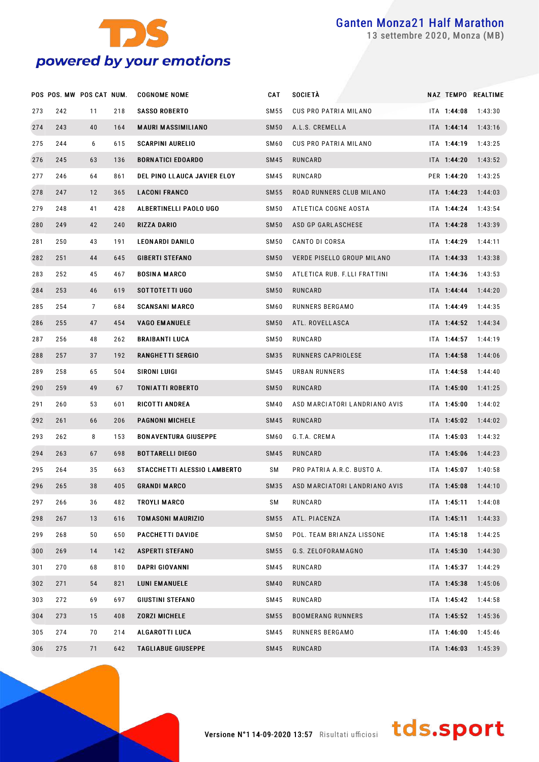

settembre 2020, Monza (MB)

|     | POS POS. MW POS CAT NUM. |    |     | <b>COGNOME NOME</b>         | CAT              | SOCIETÀ                       |             | NAZ TEMPO REALTIME |
|-----|--------------------------|----|-----|-----------------------------|------------------|-------------------------------|-------------|--------------------|
| 273 | 242                      | 11 | 218 | <b>SASSO ROBERTO</b>        | SM 55            | CUS PRO PATRIA MILANO         | ITA 1:44:08 | 1:43:30            |
| 274 | 243                      | 40 | 164 | <b>MAURI MASSIMILIANO</b>   | <b>SM50</b>      | A.L.S. CREMELLA               | ITA 1:44:14 | 1:43:16            |
| 275 | 244                      | 6  | 615 | <b>SCARPINI AURELIO</b>     | SM60             | CUS PRO PATRIA MILANO         | ITA 1:44:19 | 1:43:25            |
| 276 | 245                      | 63 | 136 | <b>BORNATICI EDOARDO</b>    | <b>SM45</b>      | RUNCARD                       | ITA 1:44:20 | 1:43:52            |
| 277 | 246                      | 64 | 861 | DEL PINO LLAUCA JAVIER ELOY | SM45             | RUNCARD                       | PER 1:44:20 | 1:43:25            |
| 278 | 247                      | 12 | 365 | <b>LACONI FRANCO</b>        | <b>SM55</b>      | ROAD RUNNERS CLUB MILANO      | ITA 1:44:23 | 1:44:03            |
| 279 | 248                      | 41 | 428 | ALBERTINELLI PAOLO UGO      | SM 50            | ATLETICA COGNE AOSTA          | ITA 1:44:24 | 1:43:54            |
| 280 | 249                      | 42 | 240 | <b>RIZZA DARIO</b>          | <b>SM50</b>      | ASD GP GARLASCHESE            | ITA 1:44:28 | 1:43:39            |
| 281 | 250                      | 43 | 191 | <b>LEONARDI DANILO</b>      | SM 50            | CANTO DI CORSA                | ITA 1:44:29 | 1:44:11            |
| 282 | 251                      | 44 | 645 | <b>GIBERTI STEFANO</b>      | <b>SM50</b>      | VERDE PISELLO GROUP MILANO    | ITA 1:44:33 | 1:43:38            |
| 283 | 252                      | 45 | 467 | <b>BOSINA MARCO</b>         | <b>SM50</b>      | ATLETICA RUB. F.LLI FRATTINI  | ITA 1:44:36 | 1:43:53            |
| 284 | 253                      | 46 | 619 | SOTTOTETTI UGO              | <b>SM50</b>      | RUNCARD                       | ITA 1:44:44 | 1:44:20            |
| 285 | 254                      | 7  | 684 | <b>SCANSANI MARCO</b>       | SM <sub>60</sub> | RUNNERS BERGAMO               | ITA 1:44:49 | 1:44:35            |
| 286 | 255                      | 47 | 454 | <b>VAGO EMANUELE</b>        | <b>SM50</b>      | ATL. ROVELLASCA               | ITA 1:44:52 | 1:44:34            |
| 287 | 256                      | 48 | 262 | <b>BRAIBANTI LUCA</b>       | SM 50            | RUNCARD                       | ITA 1:44:57 | 1:44:19            |
| 288 | 257                      | 37 | 192 | RANGHETTI SERGIO            | SM35             | RUNNERS CAPRIOLESE            | ITA 1:44:58 | 1:44:06            |
| 289 | 258                      | 65 | 504 | SIRONI LUIGI                | SM45             | URBAN RUNNERS                 | ITA 1:44:58 | 1:44:40            |
| 290 | 259                      | 49 | 67  | <b>TONIATTI ROBERTO</b>     | <b>SM50</b>      | RUNCARD                       | ITA 1:45:00 | 1:41:25            |
| 291 | 260                      | 53 | 601 | <b>RICOTTI ANDREA</b>       | <b>SM40</b>      | ASD MARCIATORI LANDRIANO AVIS | ITA 1:45:00 | 1:44:02            |
| 292 | 261                      | 66 | 206 | <b>PAGNONI MICHELE</b>      | <b>SM45</b>      | RUNCARD                       | ITA 1:45:02 | 1:44:02            |
| 293 | 262                      | 8  | 153 | <b>BONAVENTURA GIUSEPPE</b> | SM <sub>60</sub> | G.T.A. CREMA                  | ITA 1:45:03 | 1:44:32            |
| 294 | 263                      | 67 | 698 | <b>BOTTARELLI DIEGO</b>     | SM45             | RUNCARD                       | ITA 1:45:06 | 1:44:23            |
| 295 | 264                      | 35 | 663 | STACCHETTI ALESSIO LAMBERTO | SM               | PRO PATRIA A.R.C. BUSTO A.    | ITA 1:45:07 | 1:40:58            |
| 296 | 265                      | 38 | 405 | <b>GRANDI MARCO</b>         | SM35             | ASD MARCIATORI LANDRIANO AVIS | ITA 1:45:08 | 1:44:10            |
| 297 | 266                      | 36 | 482 | TROYLI MARCO                | SΜ               | RUNCARD                       | ITA 1:45:11 | 1:44:08            |
| 298 | 267                      | 13 | 616 | <b>TOMASONI MAURIZIO</b>    | <b>SM55</b>      | ATL. PIACENZA                 | ITA 1:45:11 | 1:44:33            |
| 299 | 268                      | 50 | 650 | <b>PACCHETTI DAVIDE</b>     | <b>SM50</b>      | POL. TEAM BRIANZA LISSONE     | ITA 1:45:18 | 1:44:25            |
| 300 | 269                      | 14 | 142 | <b>ASPERTI STEFANO</b>      | <b>SM55</b>      | G.S. ZELOFORAMAGNO            | ITA 1:45:30 | 1:44:30            |
| 301 | 270                      | 68 | 810 | <b>DAPRI GIOVANNI</b>       | <b>SM45</b>      | RUNCARD                       | ITA 1:45:37 | 1:44:29            |
| 302 | 271                      | 54 | 821 | <b>LUNI EMANUELE</b>        | <b>SM40</b>      | RUNCARD                       | ITA 1:45:38 | 1:45:06            |
| 303 | 272                      | 69 | 697 | <b>GIUSTINI STEFANO</b>     | SM45             | RUNCARD                       | ITA 1:45:42 | 1:44:58            |
| 304 | 273                      | 15 | 408 | <b>ZORZI MICHELE</b>        | <b>SM55</b>      | <b>BOOMERANG RUNNERS</b>      | ITA 1:45:52 | 1:45:36            |
| 305 | 274                      | 70 | 214 | <b>ALGAROTTI LUCA</b>       | <b>SM45</b>      | RUNNERS BERGAMO               | ITA 1:46:00 | 1:45:46            |
| 306 | 275                      | 71 | 642 | <b>TAGLIABUE GIUSEPPE</b>   | <b>SM45</b>      | RUNCARD                       | ITA 1:46:03 | 1:45:39            |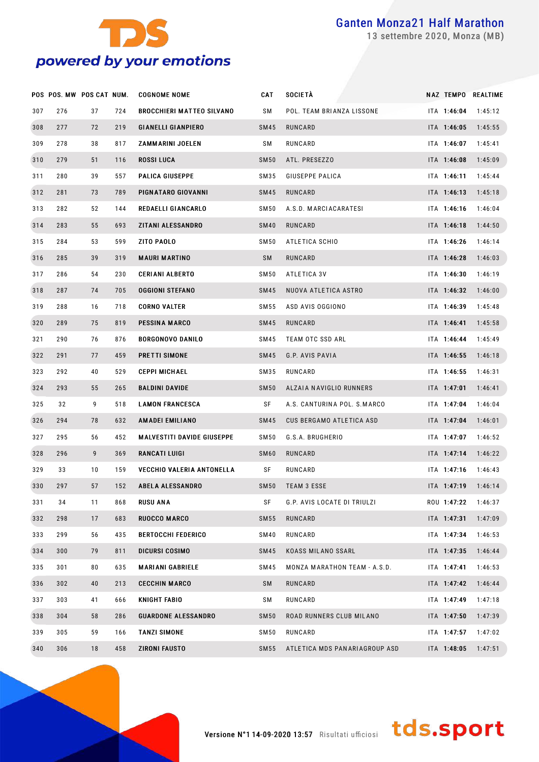

settembre 2020, Monza (MB)

|     | POS POS. MW POS CAT NUM. |    |     | <b>COGNOME NOME</b>               | CAT              | SOCIETÀ                       |             | NAZ TEMPO REALTIME |
|-----|--------------------------|----|-----|-----------------------------------|------------------|-------------------------------|-------------|--------------------|
| 307 | 276                      | 37 | 724 | <b>BROCCHIERI MATTEO SILVANO</b>  | SΜ               | POL. TEAM BRIANZA LISSONE     | ITA 1:46:04 | 1:45:12            |
| 308 | 277                      | 72 | 219 | <b>GIANELLI GIANPIERO</b>         | <b>SM45</b>      | RUNCARD                       | ITA 1:46:05 | 1:45:55            |
| 309 | 278                      | 38 | 817 | ZAMMARINI JOELEN                  | SΜ               | RUNCARD                       | ITA 1:46:07 | 1:45:41            |
| 310 | 279                      | 51 | 116 | <b>ROSSI LUCA</b>                 | <b>SM50</b>      | ATL. PRESEZZO                 | ITA 1:46:08 | 1:45:09            |
| 311 | 280                      | 39 | 557 | <b>PALICA GIUSEPPE</b>            | SM35             | GIUSEPPE PALICA               | ITA 1:46:11 | 1:45:44            |
| 312 | 281                      | 73 | 789 | PIGNATARO GIOVANNI                | SM45             | RUNCARD                       | ITA 1:46:13 | 1:45:18            |
| 313 | 282                      | 52 | 144 | REDAELLI GIANCARLO                | SM 50            | A.S.D. MARCIACARATESI         | ITA 1:46:16 | 1:46:04            |
| 314 | 283                      | 55 | 693 | ZITANI ALESSANDRO                 | <b>SM40</b>      | RUNCARD                       | ITA 1:46:18 | 1:44:50            |
| 315 | 284                      | 53 | 599 | ZITO PAOLO                        | <b>SM50</b>      | ATLETICA SCHIO                | ITA 1:46:26 | 1:46:14            |
| 316 | 285                      | 39 | 319 | <b>MAURI MARTINO</b>              | SM               | RUNCARD                       | ITA 1:46:28 | 1:46:03            |
| 317 | 286                      | 54 | 230 | <b>CERIANI ALBERTO</b>            | SM 50            | ATLETICA 3V                   | ITA 1:46:30 | 1:46:19            |
| 318 | 287                      | 74 | 705 | <b>OGGIONI STEFANO</b>            | SM45             | NUOVA ATLETICA ASTRO          | ITA 1:46:32 | 1:46:00            |
| 319 | 288                      | 16 | 718 | <b>CORNO VALTER</b>               | SM 55            | ASD AVIS OGGIONO              | ITA 1:46:39 | 1:45:48            |
| 320 | 289                      | 75 | 819 | <b>PESSINA MARCO</b>              | SM45             | RUNCARD                       | ITA 1:46:41 | 1:45:58            |
| 321 | 290                      | 76 | 876 | <b>BORGONOVO DANILO</b>           | SM45             | TEAM OTC SSD ARL              | ITA 1:46:44 | 1:45:49            |
| 322 | 291                      | 77 | 459 | PRETTI SIMONE                     | SM45             | G.P. AVIS PAVIA               | ITA 1:46:55 | 1:46:18            |
| 323 | 292                      | 40 | 529 | <b>CEPPI MICHAEL</b>              | SM35             | RUNCARD                       | ITA 1:46:55 | 1:46:31            |
| 324 | 293                      | 55 | 265 | <b>BALDINI DAVIDE</b>             | <b>SM50</b>      | ALZAIA NAVIGLIO RUNNERS       | ITA 1:47:01 | 1:46:41            |
| 325 | 32                       | 9  | 518 | <b>LAMON FRANCESCA</b>            | SF               | A.S. CANTURINA POL. S.MARCO   | ITA 1:47:04 | 1:46:04            |
| 326 | 294                      | 78 | 632 | <b>AMADEI EMILIANO</b>            | SM45             | CUS BERGAMO ATLETICA ASD      | ITA 1:47:04 | 1:46:01            |
| 327 | 295                      | 56 | 452 | <b>MALVESTITI DAVIDE GIUSEPPE</b> | SM <sub>50</sub> | G.S.A. BRUGHERIO              | ITA 1:47:07 | 1:46:52            |
| 328 | 296                      | 9  | 369 | RANCATI LUIGI                     | SM <sub>60</sub> | RUNCARD                       | ITA 1:47:14 | 1:46:22            |
| 329 | 33                       | 10 | 159 | VECCHIO VALERIA ANTONELLA         | SF               | RUNCARD                       | ITA 1:47:16 | 1:46:43            |
| 330 | 297                      | 57 | 152 | <b>ABELA ALESSANDRO</b>           | <b>SM50</b>      | <b>TEAM 3 ESSE</b>            | ITA 1:47:19 | 1:46:14            |
| 331 | 34                       | 11 | 868 | <b>RUSU ANA</b>                   | SF               | G.P. AVIS LOCATE DI TRIULZI   | ROU 1:47:22 | 1:46:37            |
| 332 | 298                      | 17 | 683 | RUOCCO MARCO                      | <b>SM55</b>      | RUNCARD                       | ITA 1:47:31 | 1:47:09            |
| 333 | 299                      | 56 | 435 | <b>BERTOCCHI FEDERICO</b>         | <b>SM40</b>      | RUNCARD                       | ITA 1:47:34 | 1:46:53            |
| 334 | 300                      | 79 | 811 | DICURSI COSIMO                    | <b>SM45</b>      | <b>KOASS MILANO SSARL</b>     | ITA 1:47:35 | 1:46:44            |
| 335 | 301                      | 80 | 635 | <b>MARIANI GABRIELE</b>           | SM45             | MONZA MARATHON TEAM - A.S.D.  | ITA 1:47:41 | 1:46:53            |
| 336 | 302                      | 40 | 213 | <b>CECCHIN MARCO</b>              | SM               | RUNCARD                       | ITA 1:47:42 | 1:46:44            |
| 337 | 303                      | 41 | 666 | <b>KNIGHT FABIO</b>               | SΜ               | RUNCARD                       | ITA 1:47:49 | 1:47:18            |
| 338 | 304                      | 58 | 286 | <b>GUARDONE ALESSANDRO</b>        | <b>SM50</b>      | ROAD RUNNERS CLUB MILANO      | ITA 1:47:50 | 1:47:39            |
| 339 | 305                      | 59 | 166 | <b>TANZI SIMONE</b>               | SM 50            | RUNCARD                       | ITA 1:47:57 | 1:47:02            |
| 340 | 306                      | 18 | 458 | <b>ZIRONI FAUSTO</b>              | <b>SM55</b>      | ATLETICA MDS PANARIAGROUP ASD | ITA 1:48:05 | 1:47:51            |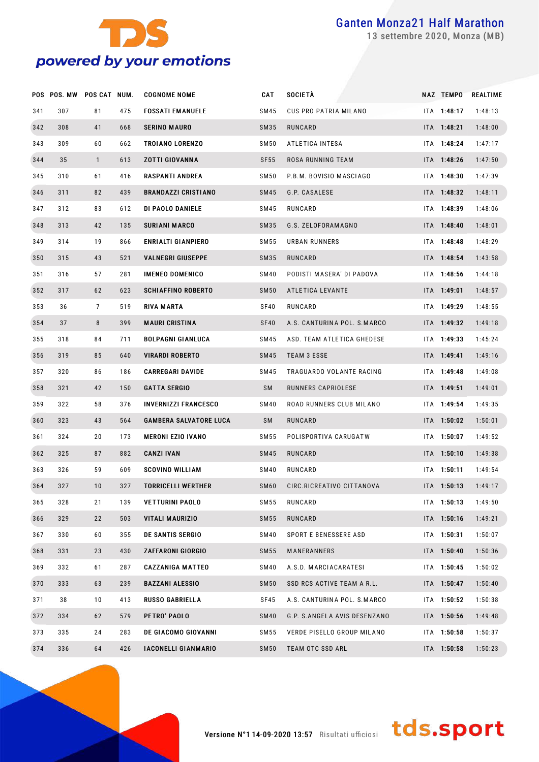

settembre 2020, Monza (MB)

|     | POS POS. MW POS CAT NUM. |              |     | <b>COGNOME NOME</b>           | <b>CAT</b>  | SOCIETÀ                      | <b>NAZ TEMPO</b> | <b>REALTIME</b> |
|-----|--------------------------|--------------|-----|-------------------------------|-------------|------------------------------|------------------|-----------------|
| 341 | 307                      | 81           | 475 | <b>FOSSATI EMANUELE</b>       | SM45        | CUS PRO PATRIA MILANO        | ITA 1:48:17      | 1:48:13         |
| 342 | 308                      | 41           | 668 | <b>SERINO MAURO</b>           | SM35        | RUNCARD                      | ITA 1:48:21      | 1:48:00         |
| 343 | 309                      | 60           | 662 | TROIANO LORENZO               | SM50        | ATLETICA INTESA              | ITA 1:48:24      | 1:47:17         |
| 344 | 35                       | $\mathbf{1}$ | 613 | <b>ZOTTI GIOVANNA</b>         | <b>SF55</b> | ROSA RUNNING TEAM            | ITA 1:48:26      | 1:47:50         |
| 345 | 310                      | 61           | 416 | <b>RASPANTI ANDREA</b>        | SM50        | P.B.M. BOVISIO MASCIAGO      | ITA 1:48:30      | 1:47:39         |
| 346 | 311                      | 82           | 439 | <b>BRANDAZZI CRISTIANO</b>    | SM45        | G.P. CASALESE                | ITA 1:48:32      | 1:48:11         |
| 347 | 312                      | 83           | 612 | DI PAOLO DANIELE              | SM45        | RUNCARD                      | ITA 1:48:39      | 1:48:06         |
| 348 | 313                      | 42           | 135 | <b>SURIANI MARCO</b>          | SM35        | G.S. ZELOFORAMAGNO           | ITA 1:48:40      | 1:48:01         |
| 349 | 314                      | 19           | 866 | ENRIALTI GIANPIERO            | SM 55       | URBAN RUNNERS                | ITA 1:48:48      | 1:48:29         |
| 350 | 315                      | 43           | 521 | <b>VALNEGRI GIUSEPPE</b>      | SM35        | RUNCARD                      | ITA 1:48:54      | 1:43:58         |
| 351 | 316                      | 57           | 281 | <b>IMENEO DOMENICO</b>        | SM40        | PODISTI MASERA' DI PADOVA    | ITA 1:48:56      | 1:44:18         |
| 352 | 317                      | 62           | 623 | <b>SCHIAFFINO ROBERTO</b>     | <b>SM50</b> | ATLETICA LEVANTE             | ITA 1:49:01      | 1:48:57         |
| 353 | 36                       | 7            | 519 | <b>RIVA MARTA</b>             | SF40        | RUNCARD                      | ITA 1:49:29      | 1:48:55         |
| 354 | 37                       | 8            | 399 | <b>MAURI CRISTINA</b>         | <b>SF40</b> | A.S. CANTURINA POL. S.MARCO  | ITA 1:49:32      | 1:49:18         |
| 355 | 318                      | 84           | 711 | <b>BOLPAGNI GIANLUCA</b>      | SM45        | ASD. TEAM ATLETICA GHEDESE   | ITA 1:49:33      | 1:45:24         |
| 356 | 319                      | 85           | 640 | <b>VIRARDI ROBERTO</b>        | SM45        | <b>TEAM 3 ESSE</b>           | ITA 1:49:41      | 1:49:16         |
| 357 | 320                      | 86           | 186 | <b>CARREGARI DAVIDE</b>       | SM45        | TRAGUARDO VOLANTE RACING     | ITA 1:49:48      | 1:49:08         |
| 358 | 321                      | 42           | 150 | <b>GATTA SERGIO</b>           | SM          | RUNNERS CAPRIOLESE           | ITA 1:49:51      | 1:49:01         |
| 359 | 322                      | 58           | 376 | <b>INVERNIZZI FRANCESCO</b>   | SM40        | ROAD RUNNERS CLUB MILANO     | ITA 1:49:54      | 1:49:35         |
| 360 | 323                      | 43           | 564 | <b>GAMBERA SALVATORE LUCA</b> | SM          | RUNCARD                      | ITA 1:50:02      | 1:50:01         |
| 361 | 324                      | 20           | 173 | <b>MERONI EZIO IVANO</b>      | SM 55       | POLISPORTIVA CARUGATW        | ITA 1:50:07      | 1:49:52         |
| 362 | 325                      | 87           | 882 | <b>CANZI IVAN</b>             | SM45        | RUNCARD                      | ITA 1:50:10      | 1:49:38         |
| 363 | 326                      | 59           | 609 | <b>SCOVINO WILLIAM</b>        | SM40        | RUNCARD                      | ITA 1:50:11      | 1:49:54         |
| 364 | 327                      | 10           | 327 | <b>TORRICELLI WERTHER</b>     | SM60        | CIRC.RICREATIVO CITTANOVA    | ITA 1:50:13      | 1:49:17         |
| 365 | 328                      | 21           | 139 | <b>VETTURINI PAOLO</b>        | SM 55       | RUNCARD                      | ITA 1:50:13      | 1:49:50         |
| 366 | 329                      | 22           | 503 | <b>VITALI MAURIZIO</b>        | SM55        | RUNCARD                      | ITA 1:50:16      | 1:49:21         |
| 367 | 330                      | 60           | 355 | <b>DE SANTIS SERGIO</b>       | SM40        | SPORT E BENESSERE ASD        | ITA 1:50:31      | 1:50:07         |
| 368 | 331                      | 23           | 430 | ZAFFARONI GIORGIO             | SM55        | MANERANNERS                  | ITA 1:50:40      | 1:50:36         |
| 369 | 332                      | 61           | 287 | <b>CAZZANIGA MATTEO</b>       | SM40        | A.S.D. MARCIACARATESI        | ITA 1:50:45      | 1:50:02         |
| 370 | 333                      | 63           | 239 | <b>BAZZANI ALESSIO</b>        | <b>SM50</b> | SSD RCS ACTIVE TEAM A R.L.   | ITA 1:50:47      | 1:50:40         |
| 371 | 38                       | 10           | 413 | <b>RUSSO GABRIELLA</b>        | SF45        | A.S. CANTURINA POL. S.MARCO  | ITA 1:50:52      | 1:50:38         |
| 372 | 334                      | 62           | 579 | PETRO' PAOLO                  | SM40        | G.P. S.ANGELA AVIS DESENZANO | ITA 1:50:56      | 1:49:48         |
| 373 | 335                      | 24           | 283 | DE GIACOMO GIOVANNI           | SM 55       | VERDE PISELLO GROUP MILANO   | ITA 1:50:58      | 1:50:37         |
| 374 | 336                      | 64           | 426 | <b>IACONELLI GIANMARIO</b>    | <b>SM50</b> | TEAM OTC SSD ARL             | ITA 1:50:58      | 1:50:23         |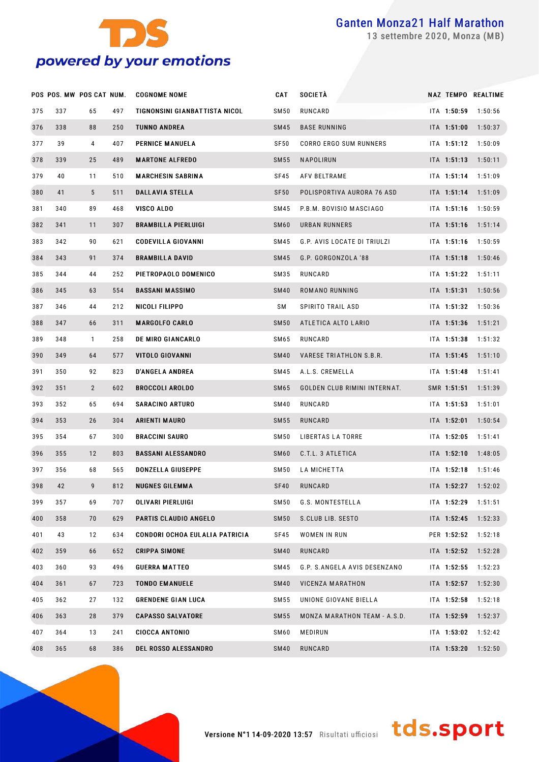

settembre 2020, Monza (MB)

|     | POS POS. MW POS CAT NUM. |              |     | <b>COGNOME NOME</b>            | CAT              | <b>SOCIETÀ</b>                |             | NAZ TEMPO REALTIME |
|-----|--------------------------|--------------|-----|--------------------------------|------------------|-------------------------------|-------------|--------------------|
| 375 | 337                      | 65           | 497 | TIGNONSINI GIANBATTISTA NICOL  | <b>SM50</b>      | RUNCARD                       | ITA 1:50:59 | 1:50:56            |
| 376 | 338                      | 88           | 250 | <b>TUNNO ANDREA</b>            | <b>SM45</b>      | <b>BASE RUNNING</b>           | ITA 1:51:00 | 1:50:37            |
| 377 | 39                       | 4            | 407 | PERNICE MANUELA                | SF50             | <b>CORRO ERGO SUM RUNNERS</b> | ITA 1:51:12 | 1:50:09            |
| 378 | 339                      | 25           | 489 | <b>MARTONE ALFREDO</b>         | <b>SM55</b>      | <b>NAPOLIRUN</b>              | ITA 1:51:13 | 1:50:11            |
| 379 | 40                       | 11           | 510 | <b>MARCHESIN SABRINA</b>       | SF45             | AFV BELTRAME                  | ITA 1:51:14 | 1:51:09            |
| 380 | 41                       | 5            | 511 | <b>DALLAVIA STELLA</b>         | <b>SF50</b>      | POLISPORTIVA AURORA 76 ASD    | ITA 1:51:14 | 1:51:09            |
| 381 | 340                      | 89           | 468 | VISCO ALDO                     | <b>SM45</b>      | P.B.M. BOVISIO MASCIAGO       | ITA 1:51:16 | 1:50:59            |
| 382 | 341                      | 11           | 307 | <b>BRAMBILLA PIERLUIGI</b>     | SM <sub>60</sub> | URBAN RUNNERS                 | ITA 1:51:16 | 1:51:14            |
| 383 | 342                      | 90           | 621 | <b>CODEVILLA GIOVANNI</b>      | <b>SM45</b>      | G.P. AVIS LOCATE DI TRIULZI   | ITA 1:51:16 | 1:50:59            |
| 384 | 343                      | 91           | 374 | <b>BRAMBILLA DAVID</b>         | <b>SM45</b>      | G.P. GORGONZOLA '88           | ITA 1:51:18 | 1:50:46            |
| 385 | 344                      | 44           | 252 | PIETROPAOLO DOMENICO           | SM35             | RUNCARD                       | ITA 1:51:22 | 1:51:11            |
| 386 | 345                      | 63           | 554 | <b>BASSANI MASSIMO</b>         | <b>SM40</b>      | ROMANO RUNNING                | ITA 1:51:31 | 1:50:56            |
| 387 | 346                      | 44           | 212 | NICOLI FILIPPO                 | SΜ               | SPIRITO TRAIL ASD             | ITA 1:51:32 | 1:50:36            |
| 388 | 347                      | 66           | 311 | <b>MARGOLFO CARLO</b>          | <b>SM50</b>      | ATLETICA ALTO LARIO           | ITA 1:51:36 | 1:51:21            |
| 389 | 348                      | $\mathbf{1}$ | 258 | DE MIRO GIANCARLO              | SM65             | RUNCARD                       | ITA 1:51:38 | 1:51:32            |
| 390 | 349                      | 64           | 577 | VITOLO GIOVANNI                | <b>SM40</b>      | VARESE TRIATHLON S.B.R.       | ITA 1:51:45 | 1:51:10            |
| 391 | 350                      | 92           | 823 | <b>D'ANGELA ANDREA</b>         | <b>SM45</b>      | A.L.S. CREMELLA               | ITA 1:51:48 | 1:51:41            |
| 392 | 351                      | $\mathbf{2}$ | 602 | <b>BROCCOLI AROLDO</b>         | SM65             | GOLDEN CLUB RIMINI INTERNAT.  | SMR 1:51:51 | 1:51:39            |
| 393 | 352                      | 65           | 694 | SARACINO ARTURO                | <b>SM40</b>      | RUNCARD                       | ITA 1:51:53 | 1:51:01            |
| 394 | 353                      | 26           | 304 | ARIENTI MAURO                  | SM55             | RUNCARD                       | ITA 1:52:01 | 1:50:54            |
| 395 | 354                      | 67           | 300 | <b>BRACCINI SAURO</b>          | <b>SM50</b>      | LIBERTAS LA TORRE             | ITA 1:52:05 | 1:51:41            |
| 396 | 355                      | 12           | 803 | <b>BASSANI ALESSANDRO</b>      | SM <sub>60</sub> | C.T.L. 3 ATLETICA             | ITA 1:52:10 | 1:48:05            |
| 397 | 356                      | 68           | 565 | DONZELLA GIUSEPPE              | <b>SM50</b>      | LA MICHETTA                   | ITA 1:52:18 | 1:51:46            |
| 398 | 42                       | 9            | 812 | <b>NUGNES GILEMMA</b>          | <b>SF40</b>      | RUNCARD                       | ITA 1:52:27 | 1:52:02            |
| 399 | 357                      | 69           | 707 | OLIVARI PIERLUIGI              | SM50             | G.S. MONTESTELLA              | ITA 1:52:29 | 1:51:51            |
| 400 | 358                      | 70           | 629 | PARTIS CLAUDIO ANGELO          | <b>SM50</b>      | S.CLUB LIB. SESTO             | ITA 1:52:45 | 1:52:33            |
| 401 | 43                       | 12           | 634 | CONDORI OCHOA EULALIA PATRICIA | SF45             | WOMEN IN RUN                  | PER 1:52:52 | 1:52:18            |
| 402 | 359                      | 66           | 652 | <b>CRIPPA SIMONE</b>           | <b>SM40</b>      | RUNCARD                       | ITA 1:52:52 | 1:52:28            |
| 403 | 360                      | 93           | 496 | <b>GUERRA MATTEO</b>           | SM45             | G.P. S.ANGELA AVIS DESENZANO  | ITA 1:52:55 | 1:52:23            |
| 404 | 361                      | 67           | 723 | <b>TONDO EMANUELE</b>          | <b>SM40</b>      | VICENZA MARATHON              | ITA 1:52:57 | 1:52:30            |
| 405 | 362                      | 27           | 132 | <b>GRENDENE GIAN LUCA</b>      | SM55             | UNIONE GIOVANE BIELLA         | ITA 1:52:58 | 1:52:18            |
| 406 | 363                      | 28           | 379 | <b>CAPASSO SALVATORE</b>       | <b>SM55</b>      | MONZA MARATHON TEAM - A.S.D.  | ITA 1:52:59 | 1:52:37            |
| 407 | 364                      | 13           | 241 | <b>CIOCCA ANTONIO</b>          | SM60             | MEDIRUN                       | ITA 1:53:02 | 1:52:42            |
| 408 | 365                      | 68           | 386 | DEL ROSSO ALESSANDRO           | <b>SM40</b>      | RUNCARD                       | ITA 1:53:20 | 1:52:50            |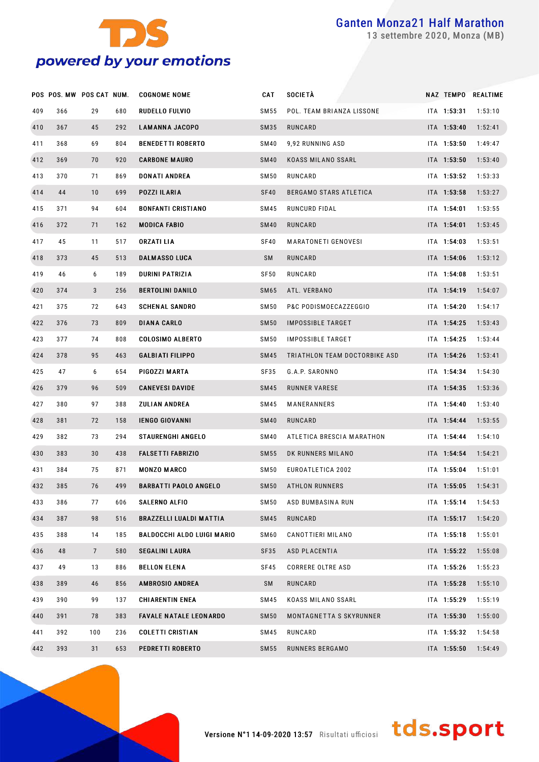

settembre 2020, Monza (MB)

|     | POS POS. MW POS CAT NUM. |                |     | <b>COGNOME NOME</b>               | CAT         | SOCIETÀ                       |             | NAZ TEMPO REALTIME |
|-----|--------------------------|----------------|-----|-----------------------------------|-------------|-------------------------------|-------------|--------------------|
| 409 | 366                      | 29             | 680 | RUDELLO FULVIO                    | SM 55       | POL. TEAM BRIANZA LISSONE     | ITA 1:53:31 | 1:53:10            |
| 410 | 367                      | 45             | 292 | <b>LAMANNA JACOPO</b>             | SM35        | RUNCARD                       | ITA 1:53:40 | 1:52:41            |
| 411 | 368                      | 69             | 804 | <b>BENEDETTI ROBERTO</b>          | SM40        | 9,92 RUNNING ASD              | ITA 1:53:50 | 1:49:47            |
| 412 | 369                      | 70             | 920 | <b>CARBONE MAURO</b>              | <b>SM40</b> | KOASS MILANO SSARL            | ITA 1:53:50 | 1:53:40            |
| 413 | 370                      | 71             | 869 | <b>DONATI ANDREA</b>              | <b>SM50</b> | RUNCARD                       | ITA 1:53:52 | 1:53:33            |
| 414 | 44                       | 10             | 699 | POZZI ILARIA                      | <b>SF40</b> | BERGAMO STARS ATLETICA        | ITA 1:53:58 | 1:53:27            |
| 415 | 371                      | 94             | 604 | <b>BONFANTI CRISTIANO</b>         | SM45        | RUNCURD FIDAL                 | ITA 1:54:01 | 1:53:55            |
| 416 | 372                      | 71             | 162 | <b>MODICA FABIO</b>               | <b>SM40</b> | RUNCARD                       | ITA 1:54:01 | 1:53:45            |
| 417 | 45                       | 11             | 517 | ORZATI LIA                        | <b>SF40</b> | MARATONETI GENOVESI           | ITA 1:54:03 | 1:53:51            |
| 418 | 373                      | 45             | 513 | <b>DALMASSO LUCA</b>              | SM          | RUNCARD                       | ITA 1:54:06 | 1:53:12            |
| 419 | 46                       | 6              | 189 | <b>DURINI PATRIZIA</b>            | <b>SF50</b> | RUNCARD                       | ITA 1:54:08 | 1:53:51            |
| 420 | 374                      | 3              | 256 | <b>BERTOLINI DANILO</b>           | SM65        | ATL. VERBANO                  | ITA 1:54:19 | 1:54:07            |
| 421 | 375                      | 72             | 643 | <b>SCHENAL SANDRO</b>             | <b>SM50</b> | P&C PODISMOECAZZEGGIO         | ITA 1:54:20 | 1:54:17            |
| 422 | 376                      | 73             | 809 | <b>DIANA CARLO</b>                | <b>SM50</b> | IMPOSSIBLE TARGET             | ITA 1:54:25 | 1:53:43            |
| 423 | 377                      | 74             | 808 | <b>COLOSIMO ALBERTO</b>           | SM50        | IMPOSSIBLE TARGET             | ITA 1:54:25 | 1:53:44            |
| 424 | 378                      | 95             | 463 | <b>GALBIATI FILIPPO</b>           | SM45        | TRIATHLON TEAM DOCTORBIKE ASD | ITA 1:54:26 | 1:53:41            |
| 425 | 47                       | 6              | 654 | PIGOZZI MARTA                     | SF35        | G.A.P. SARONNO                | ITA 1:54:34 | 1:54:30            |
| 426 | 379                      | 96             | 509 | <b>CANEVESI DAVIDE</b>            | SM45        | RUNNER VARESE                 | ITA 1:54:35 | 1:53:36            |
| 427 | 380                      | 97             | 388 | <b>ZULIAN ANDREA</b>              | SM45        | MANERANNERS                   | ITA 1:54:40 | 1:53:40            |
| 428 | 381                      | 72             | 158 | <b>IENGO GIOVANNI</b>             | <b>SM40</b> | RUNCARD                       | ITA 1:54:44 | 1:53:55            |
| 429 | 382                      | 73             | 294 | <b>STAURENGHI ANGELO</b>          | SM40        | ATLETICA BRESCIA MARATHON     | ITA 1:54:44 | 1:54:10            |
| 430 | 383                      | 30             | 438 | <b>FALSETTI FABRIZIO</b>          | SM55        | DK RUNNERS MILANO             | ITA 1:54:54 | 1:54:21            |
| 431 | 384                      | 75             | 871 | <b>MONZO MARCO</b>                | SM50        | EUROATLETICA 2002             | ITA 1:55:04 | 1:51:01            |
| 432 | 385                      | 76             | 499 | <b>BARBATTI PAOLO ANGELO</b>      | <b>SM50</b> | <b>ATHLON RUNNERS</b>         | ITA 1:55:05 | 1:54:31            |
| 433 | 386                      | 77             | 606 | <b>SALERNO ALFIO</b>              | SM50        | ASD BUMBASINA RUN             | ITA 1:55:14 | 1:54:53            |
| 434 | 387                      | 98             | 516 | <b>BRAZZELLI LUALDI MATTIA</b>    | SM45        | RUNCARD                       | ITA 1:55:17 | 1:54:20            |
| 435 | 388                      | 14             | 185 | <b>BALDOCCHI ALDO LUIGI MARIO</b> | SM60        | CANOTTIERI MILANO             | ITA 1:55:18 | 1:55:01            |
| 436 | 48                       | $\overline{7}$ | 580 | <b>SEGALINI LAURA</b>             | <b>SF35</b> | <b>ASD PLACENTIA</b>          | ITA 1:55:22 | 1:55:08            |
| 437 | 49                       | 13             | 886 | <b>BELLON ELENA</b>               | SF45        | <b>CORRERE OLTRE ASD</b>      | ITA 1:55:26 | 1:55:23            |
| 438 | 389                      | 46             | 856 | <b>AMBROSIO ANDREA</b>            | SM          | RUNCARD                       | ITA 1:55:28 | 1:55:10            |
| 439 | 390                      | 99             | 137 | <b>CHIARENTIN ENEA</b>            | SM45        | KOASS MILANO SSARL            | ITA 1:55:29 | 1:55:19            |
| 440 | 391                      | 78             | 383 | <b>FAVALE NATALE LEONARDO</b>     | <b>SM50</b> | MONTAGNETTA S SKYRUNNER       | ITA 1:55:30 | 1:55:00            |
| 441 | 392                      | 100            | 236 | <b>COLETTI CRISTIAN</b>           | SM45        | RUNCARD                       | ITA 1:55:32 | 1:54:58            |
| 442 | 393                      | 31             | 653 | PEDRETTI ROBERTO                  | SM 55       | RUNNERS BERGAMO               | ITA 1:55:50 | 1:54:49            |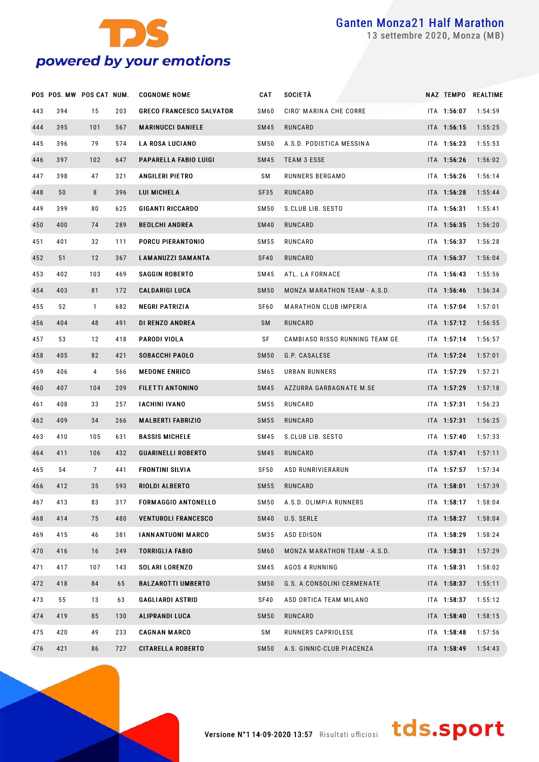

settembre 2020, Monza (MB)

|     | POS POS. MW POS CAT NUM. |              |     | <b>COGNOME NOME</b>             | CAT              | SOCIETÀ                        |             | NAZ TEMPO REALTIME |
|-----|--------------------------|--------------|-----|---------------------------------|------------------|--------------------------------|-------------|--------------------|
| 443 | 394                      | 15           | 203 | <b>GRECO FRANCESCO SALVATOR</b> | SM60             | CIRO' MARINA CHE CORRE         | ITA 1:56:07 | 1:54:59            |
| 444 | 395                      | 101          | 567 | <b>MARINUCCI DANIELE</b>        | SM45             | RUNCARD                        | ITA 1:56:15 | 1:55:25            |
| 445 | 396                      | 79           | 574 | <b>LA ROSA LUCIANO</b>          | SM50             | A.S.D. PODISTICA MESSINA       | ITA 1:56:23 | 1:55:53            |
| 446 | 397                      | 102          | 647 | PAPARELLA FABIO LUIGI           | SM45             | <b>TEAM 3 ESSE</b>             | ITA 1:56:26 | 1:56:02            |
| 447 | 398                      | 47           | 321 | <b>ANGILERI PIETRO</b>          | SΜ               | RUNNERS BERGAMO                | ITA 1:56:26 | 1:56:14            |
| 448 | 50                       | 8            | 396 | LUI MICHELA                     | SF35             | RUNCARD                        | ITA 1:56:28 | 1:55:44            |
| 449 | 399                      | 80           | 625 | <b>GIGANTI RICCARDO</b>         | SM50             | S.CLUB LIB. SESTO              | ITA 1:56:31 | 1:55:41            |
| 450 | 400                      | 74           | 289 | <b>BEOLCHI ANDREA</b>           | <b>SM40</b>      | RUNCARD                        | ITA 1:56:35 | 1:56:20            |
| 451 | 401                      | 32           | 111 | PORCU PIERANTONIO               | SM 55            | RUNCARD                        | ITA 1:56:37 | 1:56:28            |
| 452 | 51                       | 12           | 367 | <b>LAMANUZZI SAMANTA</b>        | <b>SF40</b>      | RUNCARD                        | ITA 1:56:37 | 1:56:04            |
| 453 | 402                      | 103          | 469 | <b>SAGGIN ROBERTO</b>           | SM45             | ATL. LA FORNACE                | ITA 1:56:43 | 1:55:56            |
| 454 | 403                      | 81           | 172 | <b>CALDARIGI LUCA</b>           | <b>SM50</b>      | MONZA MARATHON TEAM - A.S.D.   | ITA 1:56:46 | 1:56:34            |
| 455 | 52                       | $\mathbf{1}$ | 682 | <b>NEGRI PATRIZIA</b>           | SF60             | <b>MARATHON CLUB IMPERIA</b>   | ITA 1:57:04 | 1:57:01            |
| 456 | 404                      | 48           | 491 | DI RENZO ANDREA                 | <b>SM</b>        | RUNCARD                        | ITA 1:57:12 | 1:56:55            |
| 457 | 53                       | 12           | 418 | <b>PARODI VIOLA</b>             | SF               | CAMBIASO RISSO RUNNING TEAM GE | ITA 1:57:14 | 1:56:57            |
| 458 | 405                      | 82           | 421 | <b>SOBACCHI PAOLO</b>           | <b>SM50</b>      | G.P. CASALESE                  | ITA 1:57:24 | 1:57:01            |
| 459 | 406                      | 4            | 566 | <b>MEDONE ENRICO</b>            | SM65             | URBAN RUNNERS                  | ITA 1:57:29 | 1:57:21            |
| 460 | 407                      | 104          | 209 | FILETTI ANTONINO                | SM45             | AZZURRA GARBAGNATE M.SE        | ITA 1:57:29 | 1:57:18            |
| 461 | 408                      | 33           | 257 | <b>IACHINI IVANO</b>            | SM 55            | RUNCARD                        | ITA 1:57:31 | 1:56:23            |
| 462 | 409                      | 34           | 266 | <b>MALBERTI FABRIZIO</b>        | SM55             | RUNCARD                        | ITA 1:57:31 | 1:56:25            |
| 463 | 410                      | 105          | 631 | <b>BASSIS MICHELE</b>           | SM45             | S.CLUB LIB. SESTO              | ITA 1:57:40 | 1:57:33            |
| 464 | 411                      | 106          | 432 | <b>GUARINELLI ROBERTO</b>       | SM45             | RUNCARD                        | ITA 1:57:41 | 1:57:11            |
| 465 | 54                       | 7            | 441 | <b>FRONTINI SILVIA</b>          | SF50             | ASD RUNRIVIERARUN              | ITA 1:57:57 | 1:57:34            |
| 466 | 412                      | 35           | 593 | <b>RIOLDI ALBERTO</b>           | SM55             | <b>RUNCARD</b>                 | ITA 1:58:01 | 1:57:39            |
| 467 | 413                      | 83           | 317 | <b>FORMAGGIO ANTONELLO</b>      | SM50             | A.S.D. OLIMPIA RUNNERS         | ITA 1:58:17 | 1:58:04            |
| 468 | 414                      | 75           | 480 | <b>VENTUROLI FRANCESCO</b>      | <b>SM40</b>      | U.S. SERLE                     | ITA 1:58:27 | 1:58:04            |
| 469 | 415                      | 46           | 381 | <b>IANNANTUONI MARCO</b>        | SM35             | ASD EDISON                     | ITA 1:58:29 | 1:58:24            |
| 470 | 416                      | 16           | 249 | <b>TORRIGLIA FABIO</b>          | SM <sub>60</sub> | MONZA MARATHON TEAM - A.S.D.   | ITA 1:58:31 | 1:57:29            |
| 471 | 417                      | 107          | 143 | <b>SOLARI LORENZO</b>           | SM45             | <b>AGOS 4 RUNNING</b>          | ITA 1:58:31 | 1:58:02            |
| 472 | 418                      | 84           | 65  | <b>BALZAROTTI UMBERTO</b>       | <b>SM50</b>      | G.S. A.CONSOLINI CERMENATE     | ITA 1:58:37 | 1:55:11            |
| 473 | 55                       | 13           | 63  | <b>GAGLIARDI ASTRID</b>         | SF40             | ASD ORTICA TEAM MILANO         | ITA 1:58:37 | 1:55:12            |
| 474 | 419                      | 85           | 130 | <b>ALIPRANDI LUCA</b>           | <b>SM50</b>      | RUNCARD                        | ITA 1:58:40 | 1:58:15            |
| 475 | 420                      | 49           | 233 | <b>CAGNAN MARCO</b>             | SΜ               | RUNNERS CAPRIOLESE             | ITA 1:58:48 | 1:57:56            |
| 476 | 421                      | 86           | 727 | <b>CITARELLA ROBERTO</b>        | <b>SM50</b>      | A.S. GINNIC-CLUB PIACENZA      | ITA 1:58:49 | 1:54:43            |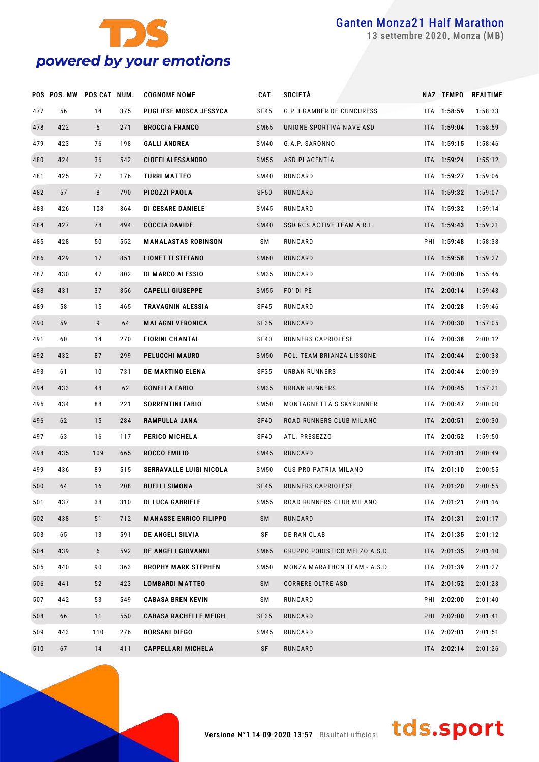

settembre 2020, Monza (MB)

|     | POS POS. MW POS CAT NUM. |                 |     | <b>COGNOME NOME</b>           | CAT              | <b>SOCIETÀ</b>                | NAZ TEMPO   | <b>REALTIME</b> |
|-----|--------------------------|-----------------|-----|-------------------------------|------------------|-------------------------------|-------------|-----------------|
| 477 | 56                       | 14              | 375 | PUGLIESE MOSCA JESSYCA        | SF45             | G.P. I GAMBER DE CUNCURESS    | ITA 1:58:59 | 1:58:33         |
| 478 | 422                      | $5\overline{)}$ | 271 | <b>BROCCIA FRANCO</b>         | <b>SM65</b>      | UNIONE SPORTIVA NAVE ASD      | ITA 1:59:04 | 1:58:59         |
| 479 | 423                      | 76              | 198 | <b>GALLI ANDREA</b>           | SM40             | G.A.P. SARONNO                | ITA 1:59:15 | 1:58:46         |
| 480 | 424                      | 36              | 542 | <b>CIOFFI ALESSANDRO</b>      | <b>SM55</b>      | ASD PLACENTIA                 | ITA 1:59:24 | 1:55:12         |
| 481 | 425                      | 77              | 176 | TURRI MATTEO                  | <b>SM40</b>      | RUNCARD                       | ITA 1:59:27 | 1:59:06         |
| 482 | 57                       | 8               | 790 | PICOZZI PAOLA                 | <b>SF50</b>      | RUNCARD                       | ITA 1:59:32 | 1:59:07         |
| 483 | 426                      | 108             | 364 | DI CESARE DANIELE             | SM45             | RUNCARD                       | ITA 1:59:32 | 1:59:14         |
| 484 | 427                      | 78              | 494 | <b>COCCIA DAVIDE</b>          | <b>SM40</b>      | SSD RCS ACTIVE TEAM A R.L.    | ITA 1:59:43 | 1:59:21         |
| 485 | 428                      | 50              | 552 | <b>MANALASTAS ROBINSON</b>    | SΜ               | RUNCARD                       | PHI 1:59:48 | 1:58:38         |
| 486 | 429                      | 17              | 851 | <b>LIONETTI STEFANO</b>       | SM <sub>60</sub> | RUNCARD                       | ITA 1:59:58 | 1:59:27         |
| 487 | 430                      | 47              | 802 | DI MARCO ALESSIO              | SM35             | RUNCARD                       | ITA 2:00:06 | 1:55:46         |
| 488 | 431                      | 37              | 356 | <b>CAPELLI GIUSEPPE</b>       | <b>SM55</b>      | FO' DI PE                     | ITA 2:00:14 | 1:59:43         |
| 489 | 58                       | 15              | 465 | TRAVAGNIN ALESSIA             | SF45             | RUNCARD                       | ITA 2:00:28 | 1:59:46         |
| 490 | 59                       | 9               | 64  | <b>MALAGNI VERONICA</b>       | SF35             | RUNCARD                       | ITA 2:00:30 | 1:57:05         |
| 491 | 60                       | 14              | 270 | <b>FIORINI CHANTAL</b>        | SF40             | RUNNERS CAPRIOLESE            | ITA 2:00:38 | 2:00:12         |
| 492 | 432                      | 87              | 299 | PELUCCHI MAURO                | <b>SM50</b>      | POL. TEAM BRIANZA LISSONE     | ITA 2:00:44 | 2:00:33         |
| 493 | 61                       | 10              | 731 | DE MARTINO ELENA              | SF35             | URBAN RUNNERS                 | ITA 2:00:44 | 2:00:39         |
| 494 | 433                      | 48              | 62  | <b>GONELLA FABIO</b>          | SM35             | URBAN RUNNERS                 | ITA 2:00:45 | 1:57:21         |
| 495 | 434                      | 88              | 221 | SORRENTINI FABIO              | SM 50            | MONTAGNETTA S SKYRUNNER       | ITA 2:00:47 | 2:00:00         |
| 496 | 62                       | 15              | 284 | <b>RAMPULLA JANA</b>          | SF40             | ROAD RUNNERS CLUB MILANO      | ITA 2:00:51 | 2:00:30         |
| 497 | 63                       | 16              | 117 | PERICO MICHELA                | SF40             | ATL. PRESEZZO                 | ITA 2:00:52 | 1:59:50         |
| 498 | 435                      | 109             | 665 | ROCCO EMILIO                  | <b>SM45</b>      | RUNCARD                       | ITA 2:01:01 | 2:00:49         |
| 499 | 436                      | 89              | 515 | SERRAVALLE LUIGI NICOLA       | SM 50            | CUS PRO PATRIA MILANO         | ITA 2:01:10 | 2:00:55         |
| 500 | 64                       | 16              | 208 | <b>BUELLI SIMONA</b>          | SF45             | RUNNERS CAPRIOLESE            | ITA 2:01:20 | 2:00:55         |
| 501 | 437                      | 38              | 310 | <b>DI LUCA GABRIELE</b>       | SM 55            | ROAD RUNNERS CLUB MILANO      | ITA 2:01:21 | 2:01:16         |
| 502 | 438                      | 51              | 712 | <b>MANASSE ENRICO FILIPPO</b> | SM               | RUNCARD                       | ITA 2:01:31 | 2:01:17         |
| 503 | 65                       | 13              | 591 | DE ANGELI SILVIA              | SF               | DE RAN CLAB                   | ITA 2:01:35 | 2:01:12         |
| 504 | 439                      | 6               | 592 | DE ANGELI GIOVANNI            | <b>SM65</b>      | GRUPPO PODISTICO MELZO A.S.D. | ITA 2:01:35 | 2:01:10         |
| 505 | 440                      | 90              | 363 | <b>BROPHY MARK STEPHEN</b>    | <b>SM50</b>      | MONZA MARATHON TEAM - A.S.D.  | ITA 2:01:39 | 2:01:27         |
| 506 | 441                      | 52              | 423 | <b>LOMBARDI MATTEO</b>        | SM               | <b>CORRERE OLTRE ASD</b>      | ITA 2:01:52 | 2:01:23         |
| 507 | 442                      | 53              | 549 | <b>CABASA BREN KEVIN</b>      | SΜ               | RUNCARD                       | PHI 2:02:00 | 2:01:40         |
| 508 | 66                       | 11              | 550 | <b>CABASA RACHELLE MEIGH</b>  | SF35             | RUNCARD                       | PHI 2:02:00 | 2:01:41         |
| 509 | 443                      | 110             | 276 | <b>BORSANI DIEGO</b>          | <b>SM45</b>      | RUNCARD                       | ITA 2:02:01 | 2:01:51         |
| 510 | 67                       | 14              | 411 | <b>CAPPELLARI MICHELA</b>     | SF               | RUNCARD                       | ITA 2:02:14 | 2:01:26         |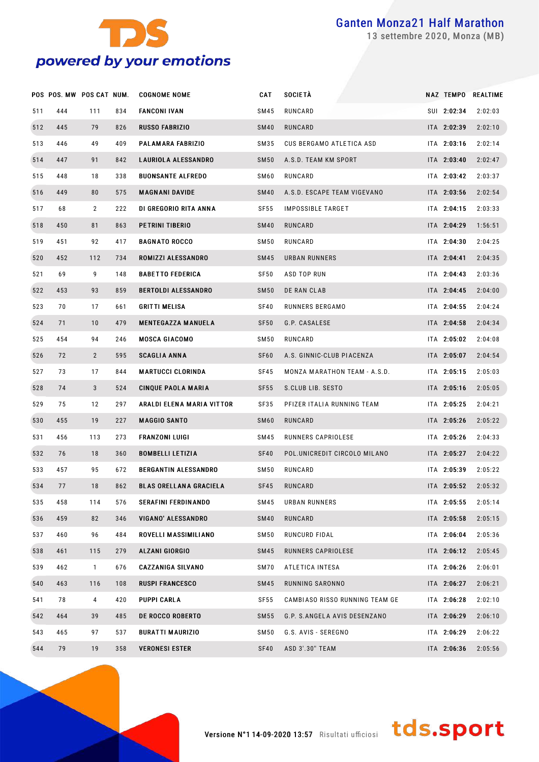

settembre 2020, Monza (MB)

|     | POS POS. MW POS CAT NUM. |                |     | <b>COGNOME NOME</b>           | <b>CAT</b>       | <b>SOCIETÀ</b>                 |             | NAZ TEMPO REALTIME |
|-----|--------------------------|----------------|-----|-------------------------------|------------------|--------------------------------|-------------|--------------------|
| 511 | 444                      | 111            | 834 | <b>FANCONI IVAN</b>           | SM45             | RUNCARD                        | SUI 2:02:34 | 2:02:03            |
| 512 | 445                      | 79             | 826 | <b>RUSSO FABRIZIO</b>         | <b>SM40</b>      | RUNCARD                        | ITA 2:02:39 | 2:02:10            |
| 513 | 446                      | 49             | 409 | PALAMARA FABRIZIO             | SM35             | CUS BERGAMO ATLETICA ASD       | ITA 2:03:16 | 2:02:14            |
| 514 | 447                      | 91             | 842 | <b>LAURIOLA ALESSANDRO</b>    | <b>SM50</b>      | A.S.D. TEAM KM SPORT           | ITA 2:03:40 | 2:02:47            |
| 515 | 448                      | 18             | 338 | <b>BUONSANTE ALFREDO</b>      | SM60             | RUNCARD                        | ITA 2:03:42 | 2:03:37            |
| 516 | 449                      | 80             | 575 | <b>MAGNANI DAVIDE</b>         | <b>SM40</b>      | A.S.D. ESCAPE TEAM VIGEVANO    | ITA 2:03:56 | 2:02:54            |
| 517 | 68                       | $\overline{2}$ | 222 | DI GREGORIO RITA ANNA         | <b>SF55</b>      | IMPOSSIBLE TARGET              | ITA 2:04:15 | 2:03:33            |
| 518 | 450                      | 81             | 863 | PETRINI TIBERIO               | <b>SM40</b>      | RUNCARD                        | ITA 2:04:29 | 1:56:51            |
| 519 | 451                      | 92             | 417 | <b>BAGNATO ROCCO</b>          | SM50             | RUNCARD                        | ITA 2:04:30 | 2:04:25            |
| 520 | 452                      | 112            | 734 | ROMIZZI ALESSANDRO            | SM45             | URBAN RUNNERS                  | ITA 2:04:41 | 2:04:35            |
| 521 | 69                       | 9              | 148 | <b>BABETTO FEDERICA</b>       | SF50             | ASD TOP RUN                    | ITA 2:04:43 | 2:03:36            |
| 522 | 453                      | 93             | 859 | <b>BERTOLDI ALESSANDRO</b>    | <b>SM50</b>      | DE RAN CLAB                    | ITA 2:04:45 | 2:04:00            |
| 523 | 70                       | 17             | 661 | <b>GRITTI MELISA</b>          | SF40             | RUNNERS BERGAMO                | ITA 2:04:55 | 2:04:24            |
| 524 | 71                       | 10             | 479 | <b>MENTEGAZZA MANUELA</b>     | <b>SF50</b>      | G.P. CASALESE                  | ITA 2:04:58 | 2:04:34            |
| 525 | 454                      | 94             | 246 | <b>MOSCA GIACOMO</b>          | SM50             | RUNCARD                        | ITA 2:05:02 | 2:04:08            |
| 526 | 72                       | $\overline{2}$ | 595 | <b>SCAGLIA ANNA</b>           | SF <sub>60</sub> | A.S. GINNIC-CLUB PIACENZA      | ITA 2:05:07 | 2:04:54            |
| 527 | 73                       | 17             | 844 | <b>MARTUCCI CLORINDA</b>      | SF45             | MONZA MARATHON TEAM - A.S.D.   | ITA 2:05:15 | 2:05:03            |
| 528 | 74                       | 3              | 524 | <b>CINQUE PAOLA MARIA</b>     | <b>SF55</b>      | S.CLUB LIB. SESTO              | ITA 2:05:16 | 2:05:05            |
| 529 | 75                       | 12             | 297 | ARALDI ELENA MARIA VITTOR     | SF35             | PFIZER ITALIA RUNNING TEAM     | ITA 2:05:25 | 2:04:21            |
| 530 | 455                      | 19             | 227 | <b>MAGGIO SANTO</b>           | <b>SM60</b>      | RUNCARD                        | ITA 2:05:26 | 2:05:22            |
| 531 | 456                      | 113            | 273 | <b>FRANZONI LUIGI</b>         | SM45             | RUNNERS CAPRIOLESE             | ITA 2:05:26 | 2:04:33            |
| 532 | 76                       | 18             | 360 | <b>BOMBELLI LETIZIA</b>       | <b>SF40</b>      | POL.UNICREDIT CIRCOLO MILANO   | ITA 2:05:27 | 2:04:22            |
| 533 | 457                      | 95             | 672 | <b>BERGANTIN ALESSANDRO</b>   | SM50             | RUNCARD                        | ITA 2:05:39 | 2:05:22            |
| 534 | 77                       | 18             | 862 | <b>BLAS ORELLANA GRACIELA</b> | <b>SF45</b>      | RUNCARD                        | ITA 2:05:52 | 2:05:32            |
| 535 | 458                      | 114            | 576 | <b>SERAFINI FERDINANDO</b>    | SM45             | URBAN RUNNERS                  | ITA 2:05:55 | 2:05:14            |
| 536 | 459                      | 82             | 346 | <b>VIGANO' ALESSANDRO</b>     | <b>SM40</b>      | RUNCARD                        | ITA 2:05:58 | 2:05:15            |
| 537 | 460                      | 96             | 484 | ROVELLI MASSIMILIANO          | SM50             | RUNCURD FIDAL                  | ITA 2:06:04 | 2:05:36            |
| 538 | 461                      | 115            | 279 | <b>ALZANI GIORGIO</b>         | SM45             | RUNNERS CAPRIOLESE             | ITA 2:06:12 | 2:05:45            |
| 539 | 462                      | $\mathbf{1}$   | 676 | <b>CAZZANIGA SILVANO</b>      | SM70             | ATLETICA INTESA                | ITA 2:06:26 | 2:06:01            |
| 540 | 463                      | 116            | 108 | <b>RUSPI FRANCESCO</b>        | SM45             | RUNNING SARONNO                | ITA 2:06:27 | 2:06:21            |
| 541 | 78                       | 4              | 420 | PUPPI CARLA                   | SF55             | CAMBIASO RISSO RUNNING TEAM GE | ITA 2:06:28 | 2:02:10            |
| 542 | 464                      | 39             | 485 | <b>DE ROCCO ROBERTO</b>       | SM55             | G.P. S.ANGELA AVIS DESENZANO   | ITA 2:06:29 | 2:06:10            |
| 543 | 465                      | 97             | 537 | <b>BURATTI MAURIZIO</b>       | SM50             | G.S. AVIS - SEREGNO            | ITA 2:06:29 | 2:06:22            |
| 544 | 79                       | 19             | 358 | <b>VERONESI ESTER</b>         | SF40             | ASD 3'.30" TEAM                | ITA 2:06:36 | 2:05:56            |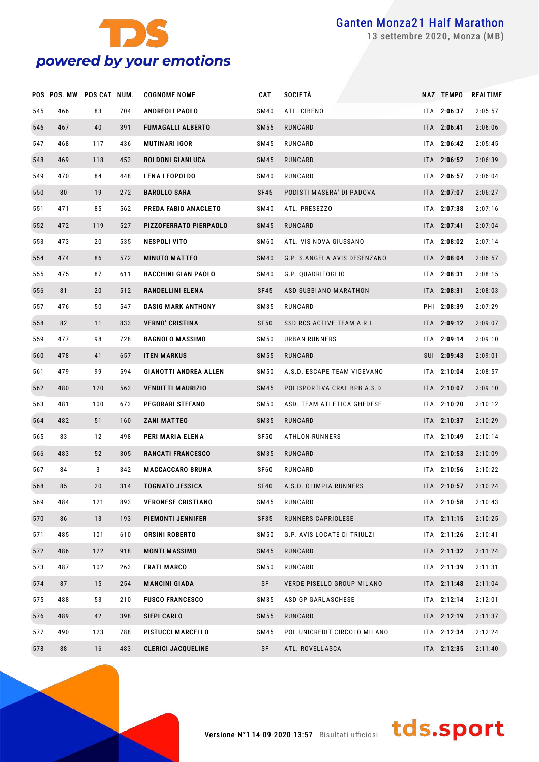

settembre 2020, Monza (MB)

|     | POS POS. MW POS CAT NUM. |     |     | <b>COGNOME NOME</b>          | CAT              | SOCIETÀ                      | NAZ TEMPO   | REALTIME |
|-----|--------------------------|-----|-----|------------------------------|------------------|------------------------------|-------------|----------|
| 545 | 466                      | 83  | 704 | <b>ANDREOLI PAOLO</b>        | SM40             | ATL. CIBENO                  | ITA 2:06:37 | 2:05:57  |
| 546 | 467                      | 40  | 391 | <b>FUMAGALLI ALBERTO</b>     | SM55             | RUNCARD                      | ITA 2:06:41 | 2:06:06  |
| 547 | 468                      | 117 | 436 | MUTINARI IGOR                | SM45             | RUNCARD                      | ITA 2:06:42 | 2:05:45  |
| 548 | 469                      | 118 | 453 | <b>BOLDONI GIANLUCA</b>      | SM45             | RUNCARD                      | ITA 2:06:52 | 2:06:39  |
| 549 | 470                      | 84  | 448 | <b>LENA LEOPOLDO</b>         | SM40             | RUNCARD                      | ITA 2:06:57 | 2:06:04  |
| 550 | 80                       | 19  | 272 | <b>BAROLLO SARA</b>          | SF45             | PODISTI MASERA' DI PADOVA    | ITA 2:07:07 | 2:06:27  |
| 551 | 471                      | 85  | 562 | PREDA FABIO ANACLETO         | SM40             | ATL. PRESEZZO                | ITA 2:07:38 | 2:07:16  |
| 552 | 472                      | 119 | 527 | PIZZOFERRATO PIERPAOLO       | SM45             | RUNCARD                      | ITA 2:07:41 | 2:07:04  |
| 553 | 473                      | 20  | 535 | NESPOLI VITO                 | SM60             | ATL. VIS NOVA GIUSSANO       | ITA 2:08:02 | 2:07:14  |
| 554 | 474                      | 86  | 572 | <b>MINUTO MATTEO</b>         | SM40             | G.P. S.ANGELA AVIS DESENZANO | ITA 2:08:04 | 2:06:57  |
| 555 | 475                      | 87  | 611 | <b>BACCHINI GIAN PAOLO</b>   | SM40             | G.P. QUADRIFOGLIO            | ITA 2:08:31 | 2:08:15  |
| 556 | 81                       | 20  | 512 | RANDELLINI ELENA             | SF45             | ASD SUBBIANO MARATHON        | ITA 2:08:31 | 2:08:03  |
| 557 | 476                      | 50  | 547 | <b>DASIG MARK ANTHONY</b>    | SM35             | RUNCARD                      | PHI 2:08:39 | 2:07:29  |
| 558 | 82                       | 11  | 833 | <b>VERNO' CRISTINA</b>       | SF <sub>50</sub> | SSD RCS ACTIVE TEAM A R.L.   | ITA 2:09:12 | 2:09:07  |
| 559 | 477                      | 98  | 728 | <b>BAGNOLO MASSIMO</b>       | SM <sub>50</sub> | URBAN RUNNERS                | ITA 2:09:14 | 2:09:10  |
| 560 | 478                      | 41  | 657 | <b>ITEN MARKUS</b>           | SM55             | RUNCARD                      | SUI 2:09:43 | 2:09:01  |
| 561 | 479                      | 99  | 594 | <b>GIANOTTI ANDREA ALLEN</b> | SM50             | A.S.D. ESCAPE TEAM VIGEVANO  | ITA 2:10:04 | 2:08:57  |
| 562 | 480                      | 120 | 563 | <b>VENDITTI MAURIZIO</b>     | SM45             | POLISPORTIVA CRAL BPB A.S.D. | ITA 2:10:07 | 2:09:10  |
| 563 | 481                      | 100 | 673 | PEGORARI STEFANO             | SM50             | ASD. TEAM ATLETICA GHEDESE   | ITA 2:10:20 | 2:10:12  |
| 564 | 482                      | 51  | 160 | ZANI MATTEO                  | SM35             | RUNCARD                      | ITA 2:10:37 | 2:10:29  |
| 565 | 83                       | 12  | 498 | PERI MARIA ELENA             | SF <sub>50</sub> | ATHLON RUNNERS               | ITA 2:10:49 | 2:10:14  |
| 566 | 483                      | 52  | 305 | <b>RANCATI FRANCESCO</b>     | SM35             | RUNCARD                      | ITA 2:10:53 | 2:10:09  |
| 567 | 84                       | 3   | 342 | <b>MACCACCARO BRUNA</b>      | SF60             | RUNCARD                      | ITA 2:10:56 | 2:10:22  |
| 568 | 85                       | 20  | 314 | <b>TOGNATO JESSICA</b>       | SF40             | A.S.D. OLIMPIA RUNNERS       | ITA 2:10:57 | 2:10:24  |
| 569 | 484                      | 121 | 893 | <b>VERONESE CRISTIANO</b>    | SM45             | RUNCARD                      | ITA 2:10:58 | 2:10:43  |
| 570 | 86                       | 13  | 193 | PIEMONTI JENNIFER            | SF35             | RUNNERS CAPRIOLESE           | ITA 2:11:15 | 2:10:25  |
| 571 | 485                      | 101 | 610 | ORSINI ROBERTO               | SM50             | G.P. AVIS LOCATE DI TRIULZI  | ITA 2:11:26 | 2:10:41  |
| 572 | 486                      | 122 | 918 | <b>MONTI MASSIMO</b>         | SM45             | RUNCARD                      | ITA 2:11:32 | 2:11:24  |
| 573 | 487                      | 102 | 263 | <b>FRATI MARCO</b>           | <b>SM50</b>      | RUNCARD                      | ITA 2:11:39 | 2:11:31  |
| 574 | 87                       | 15  | 254 | <b>MANCINI GIADA</b>         | SF               | VERDE PISELLO GROUP MILANO   | ITA 2:11:48 | 2:11:04  |
| 575 | 488                      | 53  | 210 | <b>FUSCO FRANCESCO</b>       | SM35             | ASD GP GARLASCHESE           | ITA 2:12:14 | 2:12:01  |
| 576 | 489                      | 42  | 398 | SIEPI CARLO                  | SM55             | RUNCARD                      | ITA 2:12:19 | 2:11:37  |
| 577 | 490                      | 123 | 788 | PISTUCCI MARCELLO            | SM45             | POL.UNICREDIT CIRCOLO MILANO | ITA 2:12:34 | 2:12:24  |
| 578 | 88                       | 16  | 483 | <b>CLERICI JACQUELINE</b>    | SF               | ATL. ROVELLASCA              | ITA 2:12:35 | 2:11:40  |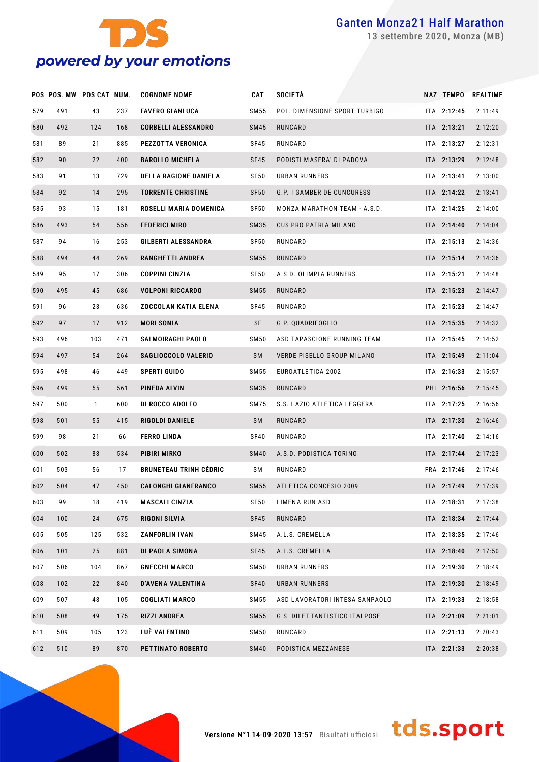

settembre 2020, Monza (MB)

|     | POS POS. MW POS CAT NUM. |              |     | <b>COGNOME NOME</b>           | <b>CAT</b>       | <b>SOCIETÀ</b>                 | <b>NAZ TEMPO</b> | <b>REALTIME</b> |
|-----|--------------------------|--------------|-----|-------------------------------|------------------|--------------------------------|------------------|-----------------|
| 579 | 491                      | 43           | 237 | <b>FAVERO GIANLUCA</b>        | SM 55            | POL. DIMENSIONE SPORT TURBIGO  | ITA 2:12:45      | 2:11:49         |
| 580 | 492                      | 124          | 168 | <b>CORBELLI ALESSANDRO</b>    | <b>SM45</b>      | RUNCARD                        | $ITA$ 2:13:21    | 2:12:20         |
| 581 | 89                       | 21           | 885 | PEZZOTTA VERONICA             | <b>SF45</b>      | RUNCARD                        | ITA 2:13:27      | 2:12:31         |
| 582 | 90                       | 22           | 400 | <b>BAROLLO MICHELA</b>        | <b>SF45</b>      | PODISTI MASERA' DI PADOVA      | $ITA$ 2:13:29    | 2:12:48         |
| 583 | 91                       | 13           | 729 | <b>DELLA RAGIONE DANIELA</b>  | <b>SF50</b>      | URBAN RUNNERS                  | ITA 2:13:41      | 2:13:00         |
| 584 | 92                       | 14           | 295 | <b>TORRENTE CHRISTINE</b>     | <b>SF50</b>      | G.P. I GAMBER DE CUNCURESS     | ITA 2:14:22      | 2:13:41         |
| 585 | 93                       | 15           | 181 | ROSELLI MARIA DOMENICA        | SF <sub>50</sub> | MONZA MARATHON TEAM - A.S.D.   | ITA 2:14:25      | 2:14:00         |
| 586 | 493                      | 54           | 556 | <b>FEDERICI MIRO</b>          | SM35             | <b>CUS PRO PATRIA MILANO</b>   | ITA 2:14:40      | 2:14:04         |
| 587 | 94                       | 16           | 253 | GILBERTI ALESSANDRA           | SF <sub>50</sub> | RUNCARD                        | ITA 2:15:13      | 2:14:36         |
| 588 | 494                      | 44           | 269 | <b>RANGHETTI ANDREA</b>       | SM 55            | RUNCARD                        | $ITA$ 2:15:14    | 2:14:36         |
| 589 | 95                       | 17           | 306 | <b>COPPINI CINZIA</b>         | <b>SF50</b>      | A.S.D. OLIMPIA RUNNERS         | ITA 2:15:21      | 2:14:48         |
| 590 | 495                      | 45           | 686 | <b>VOLPONI RICCARDO</b>       | SM 55            | RUNCARD                        | $ITA$ 2:15:23    | 2:14:47         |
| 591 | 96                       | 23           | 636 | <b>ZOCCOLAN KATIA ELENA</b>   | <b>SF45</b>      | RUNCARD                        | ITA 2:15:23      | 2:14:47         |
| 592 | 97                       | 17           | 912 | <b>MORI SONIA</b>             | SF               | G.P. QUADRIFOGLIO              | ITA 2:15:35      | 2:14:32         |
| 593 | 496                      | 103          | 471 | <b>SALMOIRAGHI PAOLO</b>      | <b>SM50</b>      | ASD TAPASCIONE RUNNING TEAM    | ITA 2:15:45      | 2:14:52         |
| 594 | 497                      | 54           | 264 | SAGLIOCCOLO VALERIO           | <b>SM</b>        | VERDE PISELLO GROUP MILANO     | ITA 2:15:49      | 2:11:04         |
| 595 | 498                      | 46           | 449 | <b>SPERTI GUIDO</b>           | SM 55            | EUROATLETICA 2002              | ITA 2:16:33      | 2:15:57         |
| 596 | 499                      | 55           | 561 | PINEDA ALVIN                  | SM35             | RUNCARD                        | PHI 2:16:56      | 2:15:45         |
| 597 | 500                      | $\mathbf{1}$ | 600 | DI ROCCO ADOLFO               | <b>SM75</b>      | S.S. LAZIO ATLETICA LEGGERA    | ITA 2:17:25      | 2:16:56         |
| 598 | 501                      | 55           | 415 | RIGOLDI DANIELE               | <b>SM</b>        | RUNCARD                        | ITA 2:17:30      | 2:16:46         |
| 599 | 98                       | 21           | 66  | <b>FERRO LINDA</b>            | <b>SF40</b>      | RUNCARD                        | ITA 2:17:40      | 2:14:16         |
| 600 | 502                      | 88           | 534 | PIBIRI MIRKO                  | <b>SM40</b>      | A.S.D. PODISTICA TORINO        | ITA 2:17:44      | 2:17:23         |
| 601 | 503                      | 56           | 17  | <b>BRUNETEAU TRINH CÉDRIC</b> | SΜ               | RUNCARD                        | FRA 2:17:46      | 2:17:46         |
| 602 | 504                      | 47           | 450 | <b>CALONGHI GIANFRANCO</b>    | SM 55            | ATLETICA CONCESIO 2009         | $ITA$ 2:17:49    | 2:17:39         |
| 603 | 99                       | 18           | 419 | <b>MASCALI CINZIA</b>         | <b>SF50</b>      | LIMENA RUN ASD                 | ITA 2:18:31      | 2:17:38         |
| 604 | 100                      | 24           | 675 | RIGONI SILVIA                 | SF45             | RUNCARD                        | ITA 2:18:34      | 2:17:44         |
| 605 | 505                      | 125          | 532 | ZANFORLIN IVAN                | SM45             | A.L.S. CREMELLA                | ITA 2:18:35      | 2:17:46         |
| 606 | 101                      | 25           | 881 | DI PAOLA SIMONA               | SF45             | A.L.S. CREMELLA                | ITA 2:18:40      | 2:17:50         |
| 607 | 506                      | 104          | 867 | <b>GNECCHI MARCO</b>          | <b>SM50</b>      | URBAN RUNNERS                  | ITA 2:19:30      | 2:18:49         |
| 608 | 102                      | 22           | 840 | D'AVENA VALENTINA             | SF40             | URBAN RUNNERS                  | ITA 2:19:30      | 2:18:49         |
| 609 | 507                      | 48           | 105 | <b>COGLIATI MARCO</b>         | SM 55            | ASD LAVORATORI INTESA SANPAOLO | ITA 2:19:33      | 2:18:58         |
| 610 | 508                      | 49           | 175 | <b>RIZZI ANDREA</b>           | SM 55            | G.S. DILETTANTISTICO ITALPOSE  | ITA 2:21:09      | 2:21:01         |
| 611 | 509                      | 105          | 123 | LUÈ VALENTINO                 | SM 50            | RUNCARD                        | ITA 2:21:13      | 2:20:43         |
| 612 | 510                      | 89           | 870 | PETTINATO ROBERTO             | <b>SM40</b>      | PODISTICA MEZZANESE            | ITA 2:21:33      | 2:20:38         |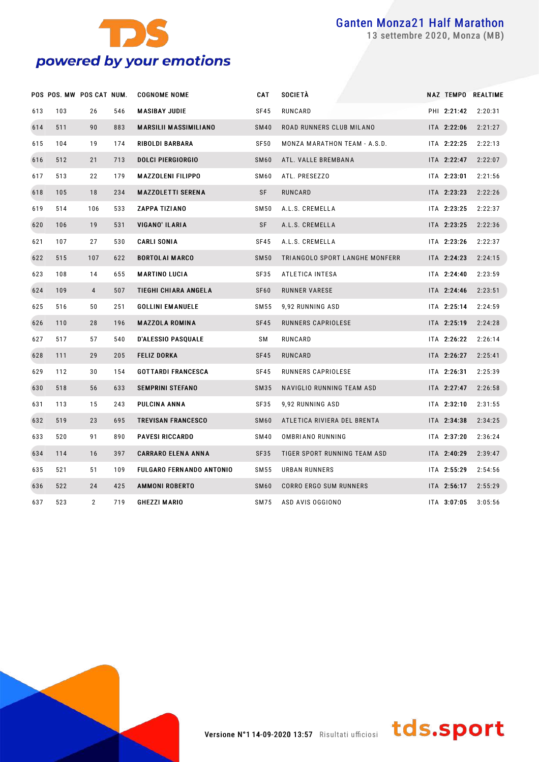

settembre 2020, Monza (MB)

|     | POS POS. MW POS CAT NUM. |                |     | <b>COGNOME NOME</b>             | <b>CAT</b>  | <b>SOCIETÀ</b>                 |             | NAZ TEMPO REALTIME |
|-----|--------------------------|----------------|-----|---------------------------------|-------------|--------------------------------|-------------|--------------------|
| 613 | 103                      | 26             | 546 | <b>MASIBAY JUDIE</b>            | <b>SF45</b> | RUNCARD                        | PHI 2:21:42 | 2:20:31            |
| 614 | 511                      | 90             | 883 | <b>MARSILII MASSIMILIANO</b>    | <b>SM40</b> | ROAD RUNNERS CLUB MILANO       | ITA 2:22:06 | 2:21:27            |
| 615 | 104                      | 19             | 174 | <b>RIBOLDI BARBARA</b>          | SF50        | MONZA MARATHON TEAM - A.S.D.   | ITA 2:22:25 | 2:22:13            |
| 616 | 512                      | 21             | 713 | <b>DOLCI PIERGIORGIO</b>        | <b>SM60</b> | ATL. VALLE BREMBANA            | ITA 2:22:47 | 2:22:07            |
| 617 | 513                      | 22             | 179 | <b>MAZZOLENI FILIPPO</b>        | <b>SM60</b> | ATL. PRESEZZO                  | ITA 2:23:01 | 2:21:56            |
| 618 | 105                      | 18             | 234 | <b>MAZZOLETTI SERENA</b>        | <b>SF</b>   | RUNCARD                        | ITA 2:23:23 | 2:22:26            |
| 619 | 514                      | 106            | 533 | ZAPPA TIZIANO                   | <b>SM50</b> | A.L.S. CREMELLA                | ITA 2:23:25 | 2:22:37            |
| 620 | 106                      | 19             | 531 | VIGANO' ILARIA                  | SF          | A.L.S. CREMELLA                | ITA 2:23:25 | 2:22:36            |
| 621 | 107                      | 27             | 530 | <b>CARLI SONIA</b>              | SF45        | A.L.S. CREMELLA                | ITA 2:23:26 | 2:22:37            |
| 622 | 515                      | 107            | 622 | <b>BORTOLAI MARCO</b>           | <b>SM50</b> | TRIANGOLO SPORT LANGHE MONFERR | ITA 2:24:23 | 2:24:15            |
| 623 | 108                      | 14             | 655 | <b>MARTINO LUCIA</b>            | <b>SF35</b> | ATLETICA INTESA                | ITA 2:24:40 | 2:23:59            |
| 624 | 109                      | $\overline{4}$ | 507 | TIEGHI CHIARA ANGELA            | <b>SF60</b> | RUNNER VARESE                  | ITA 2:24:46 | 2:23:51            |
| 625 | 516                      | 50             | 251 | <b>GOLLINI EMANUELE</b>         | SM 55       | 9,92 RUNNING ASD               | ITA 2:25:14 | 2:24:59            |
| 626 | 110                      | 28             | 196 | <b>MAZZOLA ROMINA</b>           | SF45        | RUNNERS CAPRIOLESE             | ITA 2:25:19 | 2:24:28            |
| 627 | 517                      | 57             | 540 | <b>D'ALESSIO PASQUALE</b>       | SΜ          | RUNCARD                        | ITA 2:26:22 | 2:26:14            |
| 628 | 111                      | 29             | 205 | <b>FELIZ DORKA</b>              | SF45        | RUNCARD                        | ITA 2:26:27 | 2:25:41            |
| 629 | 112                      | 30             | 154 | <b>GOTTARDI FRANCESCA</b>       | <b>SF45</b> | RUNNERS CAPRIOLESE             | ITA 2:26:31 | 2:25:39            |
| 630 | 518                      | 56             | 633 | <b>SEMPRINI STEFANO</b>         | SM35        | NAVIGLIO RUNNING TEAM ASD      | ITA 2:27:47 | 2:26:58            |
| 631 | 113                      | 15             | 243 | PULCINA ANNA                    | SF35        | 9,92 RUNNING ASD               | ITA 2:32:10 | 2:31:55            |
| 632 | 519                      | 23             | 695 | <b>TREVISAN FRANCESCO</b>       | <b>SM60</b> | ATLETICA RIVIERA DEL BRENTA    | ITA 2:34:38 | 2:34:25            |
| 633 | 520                      | 91             | 890 | <b>PAVESI RICCARDO</b>          | <b>SM40</b> | OMBRIANO RUNNING               | ITA 2:37:20 | 2:36:24            |
| 634 | 114                      | 16             | 397 | <b>CARRARO ELENA ANNA</b>       | <b>SF35</b> | TIGER SPORT RUNNING TEAM ASD   | ITA 2:40:29 | 2:39:47            |
| 635 | 521                      | 51             | 109 | <b>FULGARO FERNANDO ANTONIO</b> | SM 55       | URBAN RUNNERS                  | ITA 2:55:29 | 2:54:56            |
| 636 | 522                      | 24             | 425 | <b>AMMONI ROBERTO</b>           | <b>SM60</b> | CORRO ERGO SUM RUNNERS         | ITA 2:56:17 | 2:55:29            |
| 637 | 523                      | $\overline{2}$ | 719 | <b>GHEZZI MARIO</b>             | <b>SM75</b> | ASD AVIS OGGIONO               | ITA 3:07:05 | 3:05:56            |



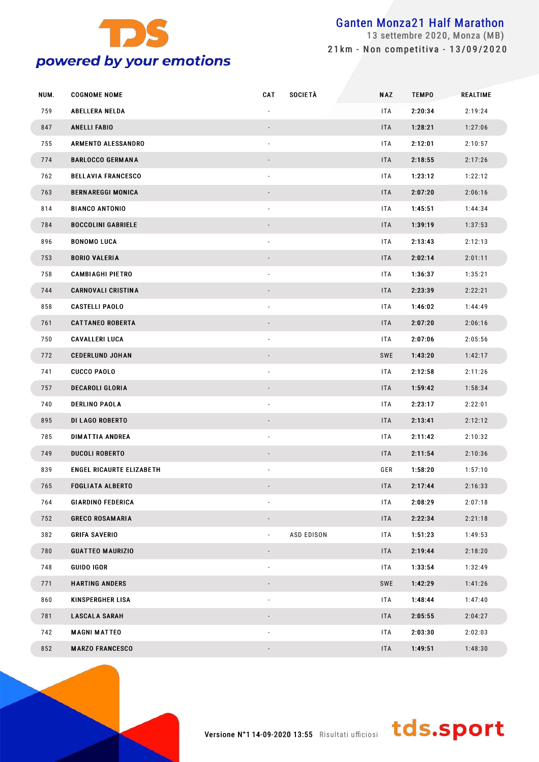

 settembre 2020, Monza (MB) 21km - Non competitiva - 13/09/2020

| NUM. | <b>COGNOME NOME</b>             | <b>CAT</b> | <b>SOCIETÀ</b>    | <b>NAZ</b> | <b>TEMPO</b> | <b>REALTIME</b> |
|------|---------------------------------|------------|-------------------|------------|--------------|-----------------|
| 759  | <b>ABELLERA NELDA</b>           |            |                   | ITA        | 2:20:34      | 2:19:24         |
| 847  | <b>ANELLI FABIO</b>             |            |                   | <b>ITA</b> | 1:28:21      | 1:27:06         |
| 755  | ARMENTO ALESSANDRO              |            |                   | ITA        | 2:12:01      | 2:10:57         |
| 774  | <b>BARLOCCO GERMANA</b>         |            |                   | <b>ITA</b> | 2:18:55      | 2:17:26         |
| 762  | <b>BELLAVIA FRANCESCO</b>       |            |                   | ITA        | 1:23:12      | 1:22:12         |
| 763  | <b>BERNAREGGI MONICA</b>        |            |                   | <b>ITA</b> | 2:07:20      | 2:06:16         |
| 814  | <b>BIANCO ANTONIO</b>           |            |                   | ITA        | 1:45:51      | 1:44:34         |
| 784  | <b>BOCCOLINI GABRIELE</b>       |            |                   | <b>ITA</b> | 1:39:19      | 1:37:53         |
| 896  | <b>BONOMO LUCA</b>              |            |                   | ITA        | 2:13:43      | 2:12:13         |
| 753  | <b>BORIO VALERIA</b>            |            |                   | <b>ITA</b> | 2:02:14      | 2:01:11         |
| 758  | <b>CAMBIAGHI PIETRO</b>         |            |                   | ITA        | 1:36:37      | 1:35:21         |
| 744  | <b>CARNOVALI CRISTINA</b>       |            |                   | <b>ITA</b> | 2:23:39      | 2:22:21         |
| 858  | <b>CASTELLI PAOLO</b>           |            |                   | ITA        | 1:46:02      | 1:44:49         |
| 761  | <b>CATTANEO ROBERTA</b>         |            |                   | <b>ITA</b> | 2:07:20      | 2:06:16         |
| 750  | <b>CAVALLERI LUCA</b>           |            |                   | ITA        | 2:07:06      | 2:05:56         |
| 772  | <b>CEDERLUND JOHAN</b>          |            |                   | SWE        | 1:43:20      | 1:42:17         |
| 741  | <b>CUCCO PAOLO</b>              |            |                   | <b>ITA</b> | 2:12:58      | 2:11:26         |
| 757  | <b>DECAROLI GLORIA</b>          |            |                   | <b>ITA</b> | 1:59:42      | 1:58:34         |
| 740  | <b>DERLINO PAOLA</b>            |            |                   | ITA        | 2:23:17      | 2:22:01         |
| 895  | <b>DI LAGO ROBERTO</b>          |            |                   | <b>ITA</b> | 2:13:41      | 2:12:12         |
| 785  | <b>DIMATTIA ANDREA</b>          |            |                   | ITA        | 2:11:42      | 2:10:32         |
| 749  | <b>DUCOLI ROBERTO</b>           |            |                   | <b>ITA</b> | 2:11:54      | 2:10:36         |
| 839  | <b>ENGEL RICAURTE ELIZABETH</b> |            |                   | GER        | 1:58:20      | 1:57:10         |
| 765  | <b>FOGLIATA ALBERTO</b>         |            |                   | <b>ITA</b> | 2:17:44      | 2:16:33         |
| 764  | <b>GIARDINO FEDERICA</b>        |            |                   | ITA        | 2:08:29      | 2:07:18         |
| 752  | <b>GRECO ROSAMARIA</b>          |            |                   | <b>ITA</b> | 2:22:34      | 2:21:18         |
| 382  | <b>GRIFA SAVERIO</b>            |            | <b>ASD EDISON</b> | ITA        | 1:51:23      | 1:49:53         |
| 780  | <b>GUATTEO MAURIZIO</b>         |            |                   | <b>ITA</b> | 2:19:44      | 2:18:20         |
| 748  | <b>GUIDO IGOR</b>               |            |                   | ITA        | 1:33:54      | 1:32:49         |
| 771  | <b>HARTING ANDERS</b>           |            |                   | SWE        | 1:42:29      | 1:41:26         |
| 860  | <b>KINSPERGHER LISA</b>         |            |                   | ITA        | 1:48:44      | 1:47:40         |
| 781  | <b>LASCALA SARAH</b>            |            |                   | <b>ITA</b> | 2:05:55      | 2:04:27         |
| 742  | <b>MAGNI MATTEO</b>             |            |                   | ITA        | 2:03:30      | 2:02:03         |
| 852  | <b>MARZO FRANCESCO</b>          |            |                   | <b>ITA</b> | 1:49:51      | 1:48:30         |